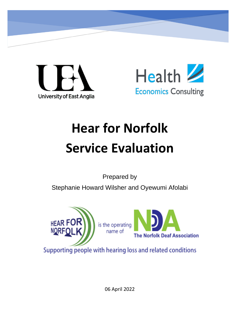



# **Hear for Norfolk Service Evaluation**

Prepared by

Stephanie Howard Wilsher and Oyewumi Afolabi





Supporting people with hearing loss and related conditions

06 April 2022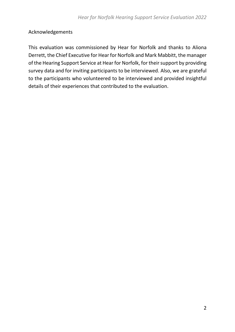### <span id="page-1-0"></span>Acknowledgements

This evaluation was commissioned by Hear for Norfolk and thanks to Aliona Derrett, the Chief Executive for Hear for Norfolk and Mark Mabbitt, the manager of the Hearing Support Service at Hear for Norfolk, for their support by providing survey data and for inviting participants to be interviewed. Also, we are grateful to the participants who volunteered to be interviewed and provided insightful details of their experiences that contributed to the evaluation.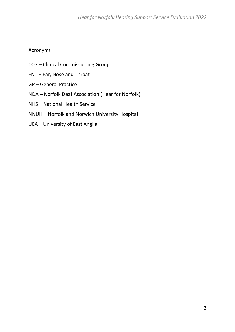### <span id="page-2-0"></span>Acronyms

- CCG Clinical Commissioning Group
- ENT Ear, Nose and Throat
- GP General Practice
- NDA Norfolk Deaf Association (Hear for Norfolk)
- NHS National Health Service
- NNUH Norfolk and Norwich University Hospital
- UEA University of East Anglia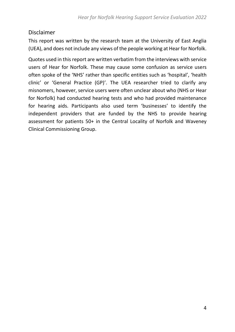### <span id="page-3-0"></span>Disclaimer

This report was written by the research team at the University of East Anglia (UEA), and does not include any views of the people working at Hear for Norfolk.

Quotes used in this report are written verbatim from the interviews with service users of Hear for Norfolk. These may cause some confusion as service users often spoke of the 'NHS' rather than specific entities such as 'hospital', 'health clinic' or 'General Practice (GP)'. The UEA researcher tried to clarify any misnomers, however, service users were often unclear about who (NHS or Hear for Norfolk) had conducted hearing tests and who had provided maintenance for hearing aids. Participants also used term 'businesses' to identify the independent providers that are funded by the NHS to provide hearing assessment for patients 50+ in the Central Locality of Norfolk and Waveney Clinical Commissioning Group.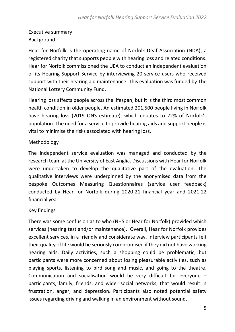### <span id="page-4-0"></span>Executive summary Background

Hear for Norfolk is the operating name of Norfolk Deaf Association (NDA), a registered charity that supports people with hearing loss and related conditions. Hear for Norfolk commissioned the UEA to conduct an independent evaluation of its Hearing Support Service by interviewing 20 service users who received support with their hearing aid maintenance. This evaluation was funded by The National Lottery Community Fund.

Hearing loss affects people across the lifespan, but it is the third most common health condition in older people. An estimated 201,500 people living in Norfolk have hearing loss (2019 ONS estimate), which equates to 22% of Norfolk's population. The need for a service to provide hearing aids and support people is vital to minimise the risks associated with hearing loss.

#### Methodology

The independent service evaluation was managed and conducted by the research team at the University of East Anglia. Discussions with Hear for Norfolk were undertaken to develop the qualitative part of the evaluation. The qualitative interviews were underpinned by the anonymised data from the bespoke Outcomes Measuring Questionnaires (service user feedback) conducted by Hear for Norfolk during 2020-21 financial year and 2021-22 financial year.

#### Key findings

There was some confusion as to who (NHS or Hear for Norfolk) provided which services (hearing test and/or maintenance). Overall, Hear for Norfolk provides excellent services, in a friendly and considerate way. Interview participants felt their quality of life would be seriously compromised if they did not have working hearing aids. Daily activities, such a shopping could be problematic, but participants were more concerned about losing pleasurable activities, such as playing sports, listening to bird song and music, and going to the theatre. Communication and socialisation would be very difficult for everyone – participants, family, friends, and wider social networks, that would result in frustration, anger, and depression. Participants also noted potential safety issues regarding driving and walking in an environment without sound.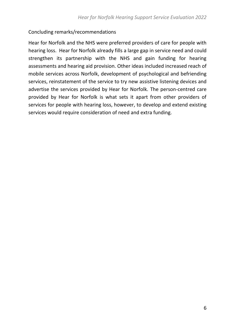### Concluding remarks/recommendations

Hear for Norfolk and the NHS were preferred providers of care for people with hearing loss. Hear for Norfolk already fills a large gap in service need and could strengthen its partnership with the NHS and gain funding for hearing assessments and hearing aid provision. Other ideas included increased reach of mobile services across Norfolk, development of psychological and befriending services, reinstatement of the service to try new assistive listening devices and advertise the services provided by Hear for Norfolk. The person-centred care provided by Hear for Norfolk is what sets it apart from other providers of services for people with hearing loss, however, to develop and extend existing services would require consideration of need and extra funding.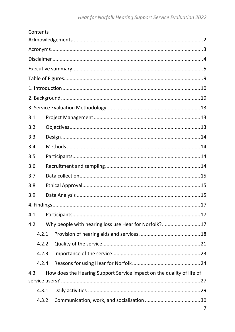|     | Contents |                                                                       |   |
|-----|----------|-----------------------------------------------------------------------|---|
|     |          |                                                                       |   |
|     |          |                                                                       |   |
|     |          |                                                                       |   |
|     |          |                                                                       |   |
|     |          |                                                                       |   |
|     |          |                                                                       |   |
|     |          |                                                                       |   |
|     |          |                                                                       |   |
| 3.1 |          |                                                                       |   |
| 3.2 |          |                                                                       |   |
| 3.3 |          |                                                                       |   |
| 3.4 |          |                                                                       |   |
| 3.5 |          |                                                                       |   |
| 3.6 |          |                                                                       |   |
| 3.7 |          |                                                                       |   |
| 3.8 |          |                                                                       |   |
| 3.9 |          |                                                                       |   |
|     |          |                                                                       |   |
| 4.1 |          |                                                                       |   |
| 4.2 |          | Why people with hearing loss use Hear for Norfolk?17                  |   |
|     | 4.2.1    |                                                                       |   |
|     | 4.2.2    |                                                                       |   |
|     | 4.2.3    |                                                                       |   |
|     | 4.2.4    |                                                                       |   |
| 4.3 |          | How does the Hearing Support Service impact on the quality of life of |   |
|     |          |                                                                       |   |
|     | 4.3.1    |                                                                       |   |
|     | 4.3.2    |                                                                       |   |
|     |          |                                                                       | 7 |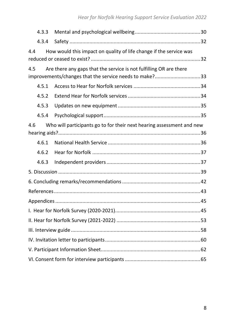|     | 4.3.3 |                                                                       |  |  |  |  |
|-----|-------|-----------------------------------------------------------------------|--|--|--|--|
|     | 4.3.4 |                                                                       |  |  |  |  |
| 4.4 |       | How would this impact on quality of life change if the service was    |  |  |  |  |
| 4.5 |       | Are there any gaps that the service is not fulfilling OR are there    |  |  |  |  |
|     |       | improvements/changes that the service needs to make?33                |  |  |  |  |
|     | 4.5.1 |                                                                       |  |  |  |  |
|     | 4.5.2 |                                                                       |  |  |  |  |
|     | 4.5.3 |                                                                       |  |  |  |  |
|     | 4.5.4 |                                                                       |  |  |  |  |
| 4.6 |       | Who will participants go to for their next hearing assessment and new |  |  |  |  |
|     |       |                                                                       |  |  |  |  |
|     | 4.6.1 |                                                                       |  |  |  |  |
|     | 4.6.2 |                                                                       |  |  |  |  |
|     | 4.6.3 |                                                                       |  |  |  |  |
|     |       |                                                                       |  |  |  |  |
|     |       |                                                                       |  |  |  |  |
|     |       |                                                                       |  |  |  |  |
|     |       |                                                                       |  |  |  |  |
|     |       |                                                                       |  |  |  |  |
|     |       |                                                                       |  |  |  |  |
|     |       |                                                                       |  |  |  |  |
|     |       |                                                                       |  |  |  |  |
|     |       |                                                                       |  |  |  |  |
|     |       |                                                                       |  |  |  |  |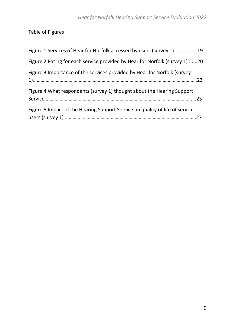<span id="page-8-0"></span>Table of Figures

| Figure 1 Services of Hear for Norfolk accessed by users (survey 1) 19        |  |
|------------------------------------------------------------------------------|--|
| Figure 2 Rating for each service provided by Hear for Norfolk (survey 1) 20  |  |
| Figure 3 Importance of the services provided by Hear for Norfolk (survey     |  |
| Figure 4 What respondents (survey 1) thought about the Hearing Support       |  |
| Figure 5 Impact of the Hearing Support Service on quality of life of service |  |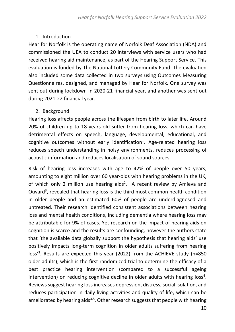### <span id="page-9-0"></span>1. Introduction

Hear for Norfolk is the operating name of Norfolk Deaf Association (NDA) and commissioned the UEA to conduct 20 interviews with service users who had received hearing aid maintenance, as part of the Hearing Support Service. This evaluation is funded by The National Lottery Community Fund. The evaluation also included some data collected in two surveys using Outcomes Measuring Questionnaires, designed, and managed by Hear for Norfolk. One survey was sent out during lockdown in 2020-21 financial year, and another was sent out during 2021-22 financial year.

### <span id="page-9-1"></span>2. Background

Hearing loss affects people across the lifespan from birth to later life. Around 20% of children up to 18 years old suffer from hearing loss, which can have detrimental effects on speech, language, developmental, educational, and cognitive outcomes without early identification<sup>1</sup>. Age-related hearing loss reduces speech understanding in noisy environments, reduces processing of acoustic information and reduces localisation of sound sources.

Risk of hearing loss increases with age to 42% of people over 50 years, amounting to eight million over 60 year-olds with hearing problems in the UK, of which only 2 million use hearing aids<sup>2</sup>. A recent review by Amieva and Ouvard<sup>3</sup>, revealed that hearing loss is the third most common health condition in older people and an estimated 60% of people are underdiagnosed and untreated. Their research identified consistent associations between hearing loss and mental health conditions, including dementia where hearing loss may be attributable for 9% of cases. Yet research on the impact of hearing aids on cognition is scarce and the results are confounding, however the authors state that 'the available data globally support the hypothesis that hearing aids' use positively impacts long-term cognition in older adults suffering from hearing loss' 3 . Results are expected this year (2022) from the ACHIEVE study (n=850 older adults), which is the first randomized trial to determine the efficacy of a best practice hearing intervention (compared to a successful ageing intervention) on reducing cognitive decline in older adults with hearing loss<sup>4</sup>. Reviews suggest hearing loss increases depression, distress, social isolation, and reduces participation in daily living activities and quality of life, which can be ameliorated by hearing aids<sup>3,5</sup>. Other research suggests that people with hearing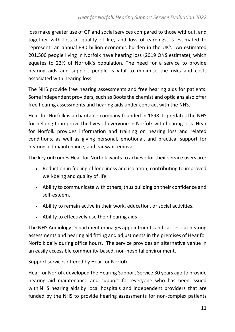loss make greater use of GP and social services compared to those without, and together with loss of quality of life, and loss of earnings, is estimated to represent an annual £30 billion economic burden in the UK<sup>6</sup>. An estimated 201,500 people living in Norfolk have hearing loss (2019 ONS estimate), which equates to 22% of Norfolk's population. The need for a service to provide hearing aids and support people is vital to minimise the risks and costs associated with hearing loss.

The NHS provide free hearing assessments and free hearing aids for patients. Some independent providers, such as Boots the chemist and opticians also offer free hearing assessments and hearing aids under contract with the NHS.

Hear for Norfolk is a charitable company founded in 1898. It predates the NHS for helping to improve the lives of everyone in Norfolk with hearing loss. Hear for Norfolk provides information and training on hearing loss and related conditions, as well as giving personal, emotional, and practical support for hearing aid maintenance, and ear wax removal.

The key outcomes Hear for Norfolk wants to achieve for their service users are:

- Reduction in feeling of loneliness and isolation, contributing to improved well-being and quality of life.
- Ability to communicate with others, thus building on their confidence and self-esteem.
- Ability to remain active in their work, education, or social activities.
- Ability to effectively use their hearing aids

The NHS Audiology Department manages appointments and carries out hearing assessments and hearing aid fitting and adjustments in the premises of Hear for Norfolk daily during office hours. The service provides an alternative venue in an easily accessible community-based, non-hospital environment.

Support services offered by Hear for Norfolk

Hear for Norfolk developed the Hearing Support Service 30 years ago to provide hearing aid maintenance and support for everyone who has been issued with NHS hearing aids by local hospitals and independent providers that are funded by the NHS to provide hearing assessments for non-complex patients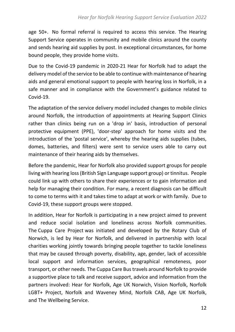age 50+. No formal referral is required to access this service. The Hearing Support Service operates in community and mobile clinics around the county and sends hearing aid supplies by post. In exceptional circumstances, for home bound people, they provide home visits.

Due to the Covid-19 pandemic in 2020-21 Hear for Norfolk had to adapt the delivery model of the service to be able to continue with maintenance of hearing aids and general emotional support to people with hearing loss in Norfolk, in a safe manner and in compliance with the Government's guidance related to Covid-19.

The adaptation of the service delivery model included changes to mobile clinics around Norfolk, the introduction of appointments at Hearing Support Clinics rather than clinics being run on a 'drop in' basis, introduction of personal protective equipment (PPE), 'door-step' approach for home visits and the introduction of the 'postal service', whereby the hearing aids supplies (tubes, domes, batteries, and filters) were sent to service users able to carry out maintenance of their hearing aids by themselves.

Before the pandemic, Hear for Norfolk also provided support groups for people living with hearing loss (British Sign Language support group) or tinnitus. People could link up with others to share their experiences or to gain information and help for managing their condition. For many, a recent diagnosis can be difficult to come to terms with it and takes time to adapt at work or with family. Due to Covid-19, these support groups were stopped.

In addition, Hear for Norfolk is participating in a new project aimed to prevent and reduce social isolation and loneliness across Norfolk communities. The Cuppa Care Project was initiated and developed by the Rotary Club of Norwich, is led by Hear for Norfolk, and delivered in partnership with local charities working jointly towards bringing people together to tackle loneliness that may be caused through poverty, disability, age, gender, lack of accessible local support and information services, geographical remoteness, poor transport, or other needs. The Cuppa Care Bus travels around Norfolk to provide a supportive place to talk and receive support, advice and information from the partners involved: Hear for Norfolk, Age UK Norwich, Vision Norfolk, Norfolk LGBT+ Project, Norfolk and Waveney Mind, Norfolk CAB, Age UK Norfolk, and The Wellbeing Service.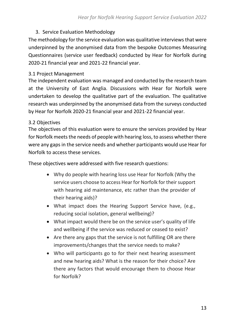### <span id="page-12-0"></span>3. Service Evaluation Methodology

The methodology for the service evaluation was qualitative interviews that were underpinned by the anonymised data from the bespoke Outcomes Measuring Questionnaires (service user feedback) conducted by Hear for Norfolk during 2020-21 financial year and 2021-22 financial year.

#### <span id="page-12-1"></span>3.1 Project Management

The independent evaluation was managed and conducted by the research team at the University of East Anglia. Discussions with Hear for Norfolk were undertaken to develop the qualitative part of the evaluation. The qualitative research was underpinned by the anonymised data from the surveys conducted by Hear for Norfolk 2020-21 financial year and 2021-22 financial year.

#### <span id="page-12-3"></span><span id="page-12-2"></span>3.2 Objectives

The objectives of this evaluation were to ensure the services provided by Hear for Norfolk meets the needs of people with hearing loss, to assess whether there were any gaps in the service needs and whether participants would use Hear for Norfolk to access these services.

These objectives were addressed with five research questions:

- Why do people with hearing loss use Hear for Norfolk (Why the service users choose to access Hear for Norfolk for their support with hearing aid maintenance, etc rather than the provider of their hearing aids)?
- What impact does the Hearing Support Service have, (e.g., reducing social isolation, general wellbeing)?
- What impact would there be on the service user's quality of life and wellbeing if the service was reduced or ceased to exist?
- Are there any gaps that the service is not fulfilling OR are there improvements/changes that the service needs to make?
- Who will participants go to for their next hearing assessment and new hearing aids? What is the reason for their choice? Are there any factors that would encourage them to choose Hear for Norfolk?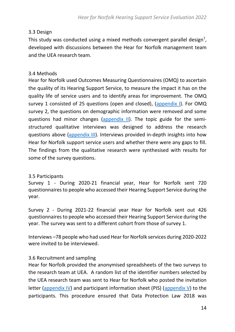#### <span id="page-13-0"></span>3.3 Design

This study was conducted using a mixed methods convergent parallel design<sup>7</sup>, developed with discussions between the Hear for Norfolk management team and the UEA research team.

#### <span id="page-13-1"></span>3.4 Methods

Hear for Norfolk used Outcomes Measuring Questionnaires (OMQ) to ascertain the quality of its Hearing Support Service, to measure the impact it has on the quality life of service users and to identify areas for improvement. The OMQ survey 1 consisted of 25 questions (open and closed), [\(appendix I](#page-44-1)). For OMQ survey 2, the questions on demographic information were removed and some questions had minor changes [\(appendix II\)](#page-52-0). The topic guide for the semistructured qualitative interviews was designed to address the research questions above [\(appendix I](#page-57-0)II). Interviews provided in-depth insights into how Hear for Norfolk support service users and whether there were any gaps to fill. The findings from the qualitative research were synthesised with results for some of the survey questions.

#### <span id="page-13-2"></span>3.5 Participants

Survey 1 - During 2020-21 financial year, Hear for Norfolk sent 720 questionnaires to people who accessed their Hearing Support Service during the year.

Survey 2 - During 2021-22 financial year Hear for Norfolk sent out 426 questionnaires to people who accessed their Hearing Support Service during the year. The survey was sent to a different cohort from those of survey 1.

Interviews –78 people who had used Hear for Norfolk services during 2020-2022 were invited to be interviewed.

#### <span id="page-13-3"></span>3.6 Recruitment and sampling

Hear for Norfolk provided the anonymised spreadsheets of the two surveys to the research team at UEA. A random list of the identifier numbers selected by the UEA research team was sent to Hear for Norfolk who posted the invitation letter [\(appendix I](#page-59-0)V) and participant information sheet (PIS) [\(appendix V](#page-61-0)) to the participants. This procedure ensured that Data Protection Law 2018 was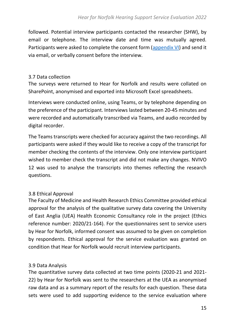followed. Potential interview participants contacted the researcher (SHW), by email or telephone. The interview date and time was mutually agreed. Participants were asked to complete the consent form [\(appendix V](#page-64-0)I) and send it via email, or verbally consent before the interview.

#### <span id="page-14-0"></span>3.7 Data collection

The surveys were returned to Hear for Norfolk and results were collated on SharePoint, anonymised and exported into Microsoft Excel spreadsheets.

Interviews were conducted online, using Teams, or by telephone depending on the preference of the participant. Interviews lasted between 20-45 minutes and were recorded and automatically transcribed via Teams, and audio recorded by digital recorder.

The Teams transcripts were checked for accuracy against the two recordings. All participants were asked if they would like to receive a copy of the transcript for member checking the contents of the interview. Only one interview participant wished to member check the transcript and did not make any changes. NVIVO 12 was used to analyse the transcripts into themes reflecting the research questions.

#### <span id="page-14-1"></span>3.8 Ethical Approval

The Faculty of Medicine and Health Research Ethics Committee provided ethical approval for the analysis of the qualitative survey data covering the University of East Anglia (UEA) Health Economic Consultancy role in the project (Ethics reference number: 2020/21-164). For the questionnaires sent to service users by Hear for Norfolk, informed consent was assumed to be given on completion by respondents. Ethical approval for the service evaluation was granted on condition that Hear for Norfolk would recruit interview participants.

#### <span id="page-14-2"></span>3.9 Data Analysis

The quantitative survey data collected at two time points (2020-21 and 2021- 22) by Hear for Norfolk was sent to the researchers at the UEA as anonymised raw data and as a summary report of the results for each question. These data sets were used to add supporting evidence to the service evaluation where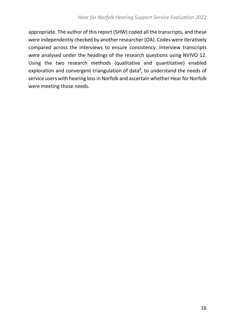appropriate. The author of this report (SHW) coded all the transcripts, and these were independently checked by another researcher (OA). Codes were iteratively compared across the interviews to ensure consistency. Interview transcripts were analysed under the headings of the research questions using NVIVO 12. Using the two research methods (qualitative and quantitative) enabled exploration and convergent triangulation of data<sup>8</sup>, to understand the needs of service users with hearing lossin Norfolk and ascertain whether Hear for Norfolk were meeting those needs.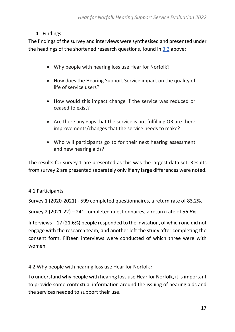### <span id="page-16-0"></span>4. Findings

The findings of the survey and interviews were synthesised and presented under the headings of the shortened research questions, found in [3.2](#page-12-3) above:

- Why people with hearing loss use Hear for Norfolk?
- How does the Hearing Support Service impact on the quality of life of service users?
- How would this impact change if the service was reduced or ceased to exist?
- Are there any gaps that the service is not fulfilling OR are there improvements/changes that the service needs to make?
- Who will participants go to for their next hearing assessment and new hearing aids?

The results for survey 1 are presented as this was the largest data set. Results from survey 2 are presented separately only if any large differences were noted.

#### <span id="page-16-1"></span>4.1 Participants

Survey 1 (2020-2021) - 599 completed questionnaires, a return rate of 83.2%.

Survey 2 (2021-22) – 241 completed questionnaires, a return rate of 56.6%

Interviews – 17 (21.6%) people responded to the invitation, of which one did not engage with the research team, and another left the study after completing the consent form. Fifteen interviews were conducted of which three were with women.

#### <span id="page-16-3"></span><span id="page-16-2"></span>4.2 Why people with hearing loss use Hear for Norfolk?

To understand why people with hearing loss use Hear for Norfolk, it is important to provide some contextual information around the issuing of hearing aids and the services needed to support their use.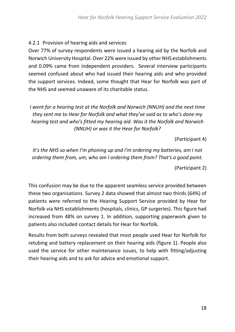#### <span id="page-17-0"></span>4.2.1 Provision of hearing aids and services

Over 77% of survey respondents were issued a hearing aid by the Norfolk and Norwich University Hospital. Over 22% were issued by other NHS establishments and 0.09% came from independent providers. Several interview participants seemed confused about who had issued their hearing aids and who provided the support services. Indeed, some thought that Hear for Norfolk was part of the NHS and seemed unaware of its charitable status.

*I* went for a hearing test at the Norfolk and Norwich (NNUH) and the next time *they sent me to Hear for Norfolk and what they've said as to who's done my hearing test and who's fitted my hearing aid. Was it the Norfolk and Norwich (NNUH) or was it the Hear for Norfolk?*

(Participant 4)

*It's the NHS so when I'm phoning up and I'm ordering my batteries, am I not ordering them from, um, who am I ordering them from? That's a good point.*

(Participant 2)

This confusion may be due to the apparent seamless service provided between these two organisations. Survey 2 data showed that almost two thirds (64%) of patients were referred to the Hearing Support Service provided by Hear for Norfolk via NHS establishments (hospitals, clinics, GP surgeries). This figure had increased from 48% on survey 1. In addition, supporting paperwork given to patients also included contact details for Hear for Norfolk.

Results from both surveys revealed that most people used Hear for Norfolk for retubing and battery replacement on their hearing aids (figure 1). People also used the service for other maintenance issues, to help with fitting/adjusting their hearing aids and to ask for advice and emotional support.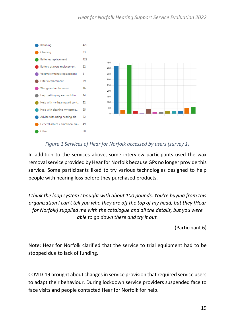

### *Figure 1 Services of Hear for Norfolk accessed by users (survey 1)*

In addition to the services above, some interview participants used the wax removal service provided by Hear for Norfolk because GPs no longer provide this service. Some participants liked to try various technologies designed to help people with hearing loss before they purchased products.

*I think the loop system I bought with about 100 pounds. You're buying from this organization I can't tell you who they are off the top of my head, but they [Hear for Norfolk] supplied me with the catalogue and all the details, but you were able to go down there and try it out.*

(Participant 6)

Note: Hear for Norfolk clarified that the service to trial equipment had to be stopped due to lack of funding.

COVID-19 brought about changes in service provision that required service users to adapt their behaviour. During lockdown service providers suspended face to face visits and people contacted Hear for Norfolk for help.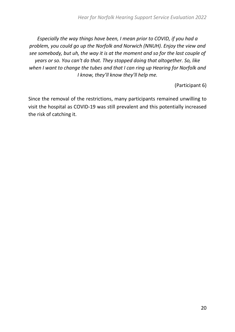*Especially the way things have been, I mean prior to COVID, if you had a problem, you could go up the Norfolk and Norwich (NNUH). Enjoy the view and see somebody, but uh, the way it is at the moment and so for the last couple of years or so. You can't do that. They stopped doing that altogether. So, like when I want to change the tubes and that I can ring up Hearing for Norfolk and I know, they'll know they'll help me.*

(Participant 6)

Since the removal of the restrictions, many participants remained unwilling to visit the hospital as COVID-19 was still prevalent and this potentially increased the risk of catching it.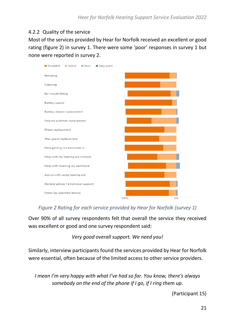#### <span id="page-20-0"></span>4.2.2 Quality of the service

Most of the services provided by Hear for Norfolk received an excellent or good rating (figure 2) in survey 1. There were some 'poor' responses in survey 1 but none were reported in survey 2.

| 0% |
|----|
|    |

*Figure 2 Rating for each service provided by Hear for Norfolk (survey 1)*

Over 90% of all survey respondents felt that overall the service they received was excellent or good and one survey respondent said:

*Very good overall support. We need you!*

Similarly, interview participants found the services provided by Hear for Norfolk were essential, often because of the limited access to other service providers.

*I mean I'm very happy with what I've had so far. You know, there's always somebody on the end of the phone if I go, if I ring them up.*

(Participant 15)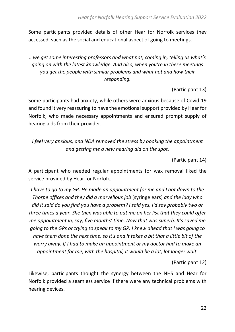Some participants provided details of other Hear for Norfolk services they accessed, such as the social and educational aspect of going to meetings.

*…we get some interesting professors and what not, coming in, telling us what's going on with the latest knowledge. And also, when you're in these meetings you get the people with similar problems and what not and how their responding.*

(Participant 13)

Some participants had anxiety, while others were anxious because of Covid-19 and found it very reassuring to have the emotional support provided by Hear for Norfolk, who made necessary appointments and ensured prompt supply of hearing aids from their provider.

*I feel very anxious, and NDA removed the stress by booking the appointment and getting me a new hearing aid on the spot.*

(Participant 14)

A participant who needed regular appointments for wax removal liked the service provided by Hear for Norfolk.

*I have to go to my GP. He made an appointment for me and I got down to the Thorpe offices and they did a marvellous job* [syringe ears] *and the lady who did it said do you find you have a problem? I said yes, I'd say probably two or three times a year. She then was able to put me on her list that they could offer me appointment in, say, five months' time. Now that was superb. It's saved me going to the GPs or trying to speak to my GP. I knew ahead that I was going to have them done the next time, so it's and it takes a bit that a little bit of the worry away. If I had to make an appointment or my doctor had to make an appointment for me, with the hospital, it would be a lot, lot longer wait.*

(Participant 12)

Likewise, participants thought the synergy between the NHS and Hear for Norfolk provided a seamless service if there were any technical problems with hearing devices.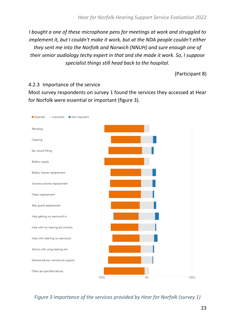*I bought a one of these microphone pens for meetings at work and struggled to implement it, but I couldn't make it work, but at the NDA people couldn't either they sent me into the Norfolk and Norwich (NNUH) and sure enough one of their senior audiology techy expert in that and she made it work. So, I suppose specialist things still head back to the hospital.*

<span id="page-22-0"></span>(Participant 8)

#### 4.2.3 Importance of the service

Most survey respondents on survey 1 found the services they accessed at Hear for Norfolk were essential or important (figure 3).



*Figure 3 Importance of the services provided by Hear for Norfolk (survey 1)*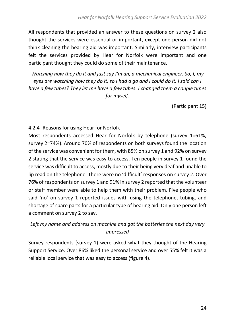All respondents that provided an answer to these questions on survey 2 also thought the services were essential or important, except one person did not think cleaning the hearing aid was important. Similarly, interview participants felt the services provided by Hear for Norfolk were important and one participant thought they could do some of their maintenance.

*Watching how they do it and just say I'm an, a mechanical engineer. So, I, my eyes are watching how they do it, so I had a go and I could do it. I said can I have a few tubes? They let me have a few tubes. I changed them a couple times for myself.*

(Participant 15)

#### <span id="page-23-0"></span>4.2.4 Reasons for using Hear for Norfolk

Most respondents accessed Hear for Norfolk by telephone (survey 1=61%, survey 2=74%). Around 70% of respondents on both surveys found the location of the service was convenient for them, with 85% on survey 1 and 92% on survey 2 stating that the service was easy to access. Ten people in survey 1 found the service was difficult to access, mostly due to their being very deaf and unable to lip read on the telephone. There were no 'difficult' responses on survey 2. Over 76% of respondents on survey 1 and 91% in survey 2 reported that the volunteer or staff member were able to help them with their problem. Five people who said 'no' on survey 1 reported issues with using the telephone, tubing, and shortage of spare parts for a particular type of hearing aid. Only one person left a comment on survey 2 to say.

### *Left my name and address on machine and got the batteries the next day very impressed*

Survey respondents (survey 1) were asked what they thought of the Hearing Support Service. Over 86% liked the personal service and over 55% felt it was a reliable local service that was easy to access (figure 4).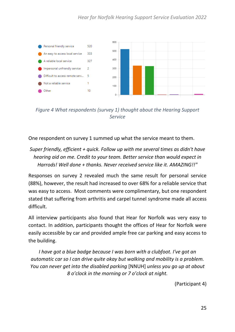

*Figure 4 What respondents (survey 1) thought about the Hearing Support Service*

One respondent on survey 1 summed up what the service meant to them.

### *Super friendly, efficient + quick. Follow up with me several times as didn't have hearing aid on me. Credit to your team. Better service than would expect in Harrods! Well done + thanks. Never received service like it. AMAZING!!"*

Responses on survey 2 revealed much the same result for personal service (88%), however, the result had increased to over 68% for a reliable service that was easy to access. Most comments were complimentary, but one respondent stated that suffering from arthritis and carpel tunnel syndrome made all access difficult.

All interview participants also found that Hear for Norfolk was very easy to contact. In addition, participants thought the offices of Hear for Norfolk were easily accessible by car and provided ample free car parking and easy access to the building.

*I have got a blue badge because I was born with a clubfoot. I've got an automatic car so I can drive quite okay but walking and mobility is a problem. You can never get into the disabled parking* [NNUH] *unless you go up at about 8 o'clock in the morning or 7 o'clock at night.*

(Participant 4)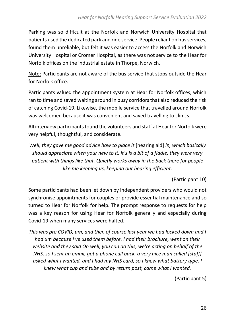Parking was so difficult at the Norfolk and Norwich University Hospital that patients used the dedicated park and ride service. People reliant on bus services, found them unreliable, but felt it was easier to access the Norfolk and Norwich University Hospital or Cromer Hospital, as there was not service to the Hear for Norfolk offices on the industrial estate in Thorpe, Norwich.

Note: Participants are not aware of the bus service that stops outside the Hear for Norfolk office.

Participants valued the appointment system at Hear for Norfolk offices, which ran to time and saved waiting around in busy corridors that also reduced the risk of catching Covid-19. Likewise, the mobile service that travelled around Norfolk was welcomed because it was convenient and saved travelling to clinics.

All interview participants found the volunteers and staff at Hear for Norfolk were very helpful, thoughtful, and considerate.

*Well, they gave me good advice how to place it* [hearing aid] *in, which basically should appreciate when your new to it, it's is a bit of a fiddle, they were very patient with things like that. Quietly works away in the back there for people like me keeping us, keeping our hearing efficient.*

(Participant 10)

Some participants had been let down by independent providers who would not synchronise appointments for couples or provide essential maintenance and so turned to Hear for Norfolk for help. The prompt response to requests for help was a key reason for using Hear for Norfolk generally and especially during Covid-19 when many services were halted.

*This was pre COVID, um, and then of course last year we had locked down and I had um because I've used them before. I had their brochure, went on their website and they said Oh well, you can do this, we're acting on behalf of the NHS, so I sent an email, got a phone call back, a very nice man called [staff] asked what I wanted, and I had my NHS card, so I knew what battery type. I knew what cup and tube and by return post, came what I wanted.*

(Participant 5)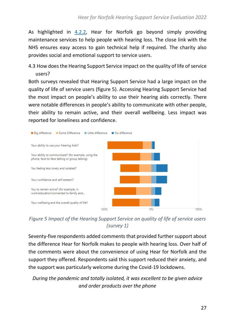As highlighted in [4.2.2,](#page-20-0) Hear for Norfolk go beyond simply providing maintenance services to help people with hearing loss. The close link with the NHS ensures easy access to gain technical help if required. The charity also provides social and emotional support to service users.

<span id="page-26-1"></span><span id="page-26-0"></span>4.3 How does the Hearing Support Service impact on the quality of life of service users?

Both surveys revealed that Hearing Support Service had a large impact on the quality of life of service users (figure 5). Accessing Hearing Support Service had the most impact on people's ability to use their hearing aids correctly. There were notable differences in people's ability to communicate with other people, their ability to remain active, and their overall wellbeing. Less impact was reported for loneliness and confidence.



*Figure 5 Impact of the Hearing Support Service on quality of life of service users (survey 1)*

Seventy-five respondents added comments that provided further support about the difference Hear for Norfolk makes to people with hearing loss. Over half of the comments were about the convenience of using Hear for Norfolk and the support they offered. Respondents said this support reduced their anxiety, and the support was particularly welcome during the Covid-19 lockdowns.

*During the pandemic and totally isolated, it was excellent to be given advice and order products over the phone*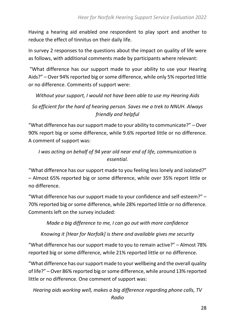Having a hearing aid enabled one respondent to play sport and another to reduce the effect of tinnitus on their daily life.

In survey 2 responses to the questions about the impact on quality of life were as follows, with additional comments made by participants where relevant:

"What difference has our support made to your ability to use your Hearing Aids?" – Over 94% reported big or some difference, while only 5% reported little or no difference. Comments of support were:

*Without your support, I would not have been able to use my Hearing Aids*

### *So efficient for the hard of hearing person. Saves me a trek to NNUH. Always friendly and helpful*

"What difference has our support made to your ability to communicate?" – Over 90% report big or some difference, while 9.6% reported little or no difference. A comment of support was:

*I was acting on behalf of 94 year old near end of life, communication is essential.*

"What difference has our support made to you feeling less lonely and isolated?" – Almost 65% reported big or some difference, while over 35% report little or no difference.

"What difference has our support made to your confidence and self-esteem?" – 70% reported big or some difference, while 28% reported little or no difference. Comments left on the survey included:

*Made a big difference to me, I can go out with more confidence*

*Knowing it [Hear for Norfolk] is there and available gives me security*

"What difference has our support made to you to remain active?" – Almost 78% reported big or some difference, while 21% reported little or no difference.

"What difference has our support made to your wellbeing and the overall quality of life?" – Over 86% reported big or some difference, while around 13% reported little or no difference. One comment of support was:

*Hearing aids working well, makes a big difference regarding phone calls, TV Radio*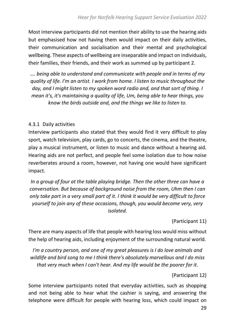Most interview participants did not mention their ability to use the hearing aids but emphasised how not having them would impact on their daily activities, their communication and socialisation and their mental and psychological wellbeing. These aspects of wellbeing are inseparable and impact on individuals, their families, their friends, and their work as summed up by participant 2.

*…. being able to understand and communicate with people and in terms of my quality of life. I'm an artist. I work from home. I listen to music throughout the day, and I might listen to my spoken word radio and, and that sort of thing. I mean it's, it's maintaining a quality of life, Um, being able to hear things, you know the birds outside and, and the things we like to listen to.*

#### <span id="page-28-0"></span>4.3.1 Daily activities

Interview participants also stated that they would find it very difficult to play sport, watch television, play cards, go to concerts, the cinema, and the theatre, play a musical instrument, or listen to music and dance without a hearing aid. Hearing aids are not perfect, and people feel some isolation due to how noise reverberates around a room, however, not having one would have significant impact.

*In a group of four at the table playing bridge. Then the other three can have a conversation. But because of background noise from the room, Uhm then I can only take part in a very small part of it. I think it would be very difficult to force yourself to join any of these occasions, though, you would become very, very isolated.*

(Participant 11)

There are many aspects of life that people with hearing loss would miss without the help of hearing aids, including enjoyment of the surrounding natural world.

*I'm a country person, and one of my great pleasures is I do love animals and wildlife and bird song to me I think there's absolutely marvellous and I do miss that very much when I can't hear. And my life would be the poorer for it.*

(Participant 12)

Some interview participants noted that everyday activities, such as shopping and not being able to hear what the cashier is saying, and answering the telephone were difficult for people with hearing loss, which could impact on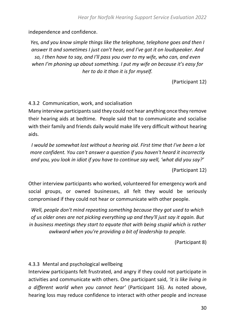independence and confidence.

*Yes, and you know simple things like the telephone, telephone goes and then I answer It and sometimes I just can't hear, and I've got it on loudspeaker. And so, I then have to say, and I'll pass you over to my wife, who can, and even when I'm phoning up about something. I put my wife on because it's easy for her to do it than it is for myself.*

(Participant 12)

<span id="page-29-0"></span>4.3.2 Communication, work, and socialisation

Many interview participants said they could not hear anything once they remove their hearing aids at bedtime. People said that to communicate and socialise with their family and friends daily would make life very difficult without hearing aids.

*I would be somewhat lost without a hearing aid. First time that I've been a lot more confident. You can't answer a question if you haven't heard it incorrectly and you, you look in idiot if you have to continue say well, 'what did you say?'*

(Participant 12)

Other interview participants who worked, volunteered for emergency work and social groups, or owned businesses, all felt they would be seriously compromised if they could not hear or communicate with other people.

*Well, people don't mind repeating something because they got used to which of us older ones are not picking everything up and they'll just say it again. But in business meetings they start to equate that with being stupid which is rather awkward when you're providing a bit of leadership to people.*

(Participant 8)

<span id="page-29-1"></span>4.3.3 Mental and psychological wellbeing

Interview participants felt frustrated, and angry if they could not participate in activities and communicate with others. One participant said, *'it is like living in a different world when you cannot hear'* (Participant 16). As noted above, hearing loss may reduce confidence to interact with other people and increase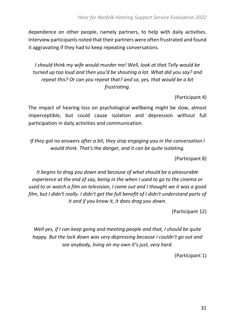dependence on other people, namely partners, to help with daily activities. Interview participants noted that their partners were often frustrated and found it aggravating if they had to keep repeating conversations.

*I should think my wife would murder me! Well, look at that Telly would be turned up too loud and then you'd be shouting a lot. What did you say? and repeat this? Or can you repeat that? and so, yes, that would be a bit frustrating.*

(Participant 4)

The impact of hearing loss on psychological wellbeing might be slow, almost imperceptible, but could cause isolation and depression without full participation in daily activities and communication.

*If they got no answers after a bit, they stop engaging you in the conversation I would think. That's the danger, and it can be quite isolating.*

(Participant 8)

*It begins to drag you down and because of what should be a pleasurable experience at the end of say, being in the when I used to go to the cinema or used to or watch a film on television, I came out and I thought we it was a good film, but I didn't really. I didn't get the full benefit of I didn't understand parts of it and if you know it, it does drag you down.*

(Participant 12)

*Well yes, if I can keep going and meeting people and that, I should be quite happy. But the lock down was very depressing because I couldn't go out and see anybody, living on my own it's just, very hard.*

(Participant 1)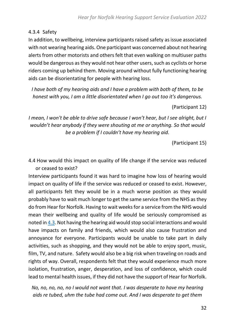#### <span id="page-31-0"></span>4.3.4 Safety

In addition, to wellbeing, interview participants raised safety as issue associated with not wearing hearing aids. One participant was concerned about not hearing alerts from other motorists and others felt that even walking on multiuser paths would be dangerous as they would not hear other users, such as cyclists or horse riders coming up behind them. Moving around without fully functioning hearing aids can be disorientating for people with hearing loss.

*I have both of my hearing aids and I have a problem with both of them, to be honest with you, I am a little disorientated when I go out too it's dangerous.*

(Participant 12)

*I mean, I won't be able to drive safe because I won't hear, but I see alright, but I wouldn't hear anybody if they were shouting at me or anything. So that would be a problem if I couldn't have my hearing aid.*

(Participant 15)

<span id="page-31-1"></span>4.4 How would this impact on quality of life change if the service was reduced or ceased to exist?

Interview participants found it was hard to imagine how loss of hearing would impact on quality of life if the service was reduced or ceased to exist. However, all participants felt they would be in a much worse position as they would probably have to wait much longer to get the same service from the NHS as they do from Hear for Norfolk. Having to wait weeks for a service from the NHS would mean their wellbeing and quality of life would be seriously compromised as noted in [4.3.](#page-26-1) Not having the hearing aid would stop social interactions and would have impacts on family and friends, which would also cause frustration and annoyance for everyone. Participants would be unable to take part in daily activities, such as shopping, and they would not be able to enjoy sport, music, film, TV, and nature. Safety would also be a big risk when traveling on roads and rights of way. Overall, respondents felt that they would experience much more isolation, frustration, anger, desperation, and loss of confidence, which could lead to mental health issues, if they did not have the support of Hear for Norfolk.

*No, no, no, no, no I would not want that. I was desperate to have my hearing aids re tubed, uhm the tube had come out. And I was desperate to get them*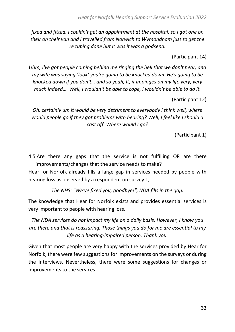*fixed and fitted. I couldn't get an appointment at the hospital, so I got one on their on their van and I travelled from Norwich to Wymondham just to get the re tubing done but it was it was a godsend.*

(Participant 14)

*Uhm, I've got people coming behind me ringing the bell that we don't hear, and my wife was saying 'look' you're going to be knocked down. He's going to be knocked down if you don't… and so yeah, It, it impinges on my life very, very much indeed…. Well, I wouldn't be able to cope, I wouldn't be able to do it.*

(Participant 12)

*Oh, certainly um it would be very detriment to everybody I think well, where would people go if they got problems with hearing? Well, I feel like I should a cast off. Where would I go?*

(Participant 1)

<span id="page-32-0"></span>4.5 Are there any gaps that the service is not fulfilling OR are there improvements/changes that the service needs to make?

Hear for Norfolk already fills a large gap in services needed by people with hearing loss as observed by a respondent on survey 1,

*The NHS: "We've fixed you, goodbye!", NDA fills in the gap.*

The knowledge that Hear for Norfolk exists and provides essential services is very important to people with hearing loss.

*The NDA services do not impact my life on a daily basis. However, I know you are there and that is reassuring. Those things you do for me are essential to my life as a hearing-impaired person. Thank you.*

Given that most people are very happy with the services provided by Hear for Norfolk, there were few suggestions for improvements on the surveys or during the interviews. Nevertheless, there were some suggestions for changes or improvements to the services.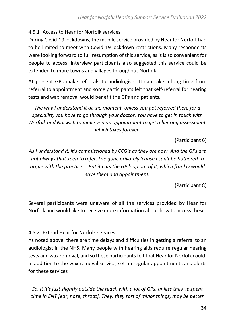### <span id="page-33-0"></span>4.5.1 Access to Hear for Norfolk services

During Covid-19 lockdowns, the mobile service provided by Hear for Norfolk had to be limited to meet with Covid-19 lockdown restrictions. Many respondents were looking forward to full resumption of this service, as it is so convenient for people to access. Interview participants also suggested this service could be extended to more towns and villages throughout Norfolk.

At present GPs make referrals to audiologists. It can take a long time from referral to appointment and some participants felt that self-referral for hearing tests and wax removal would benefit the GPs and patients.

*The way I understand it at the moment, unless you get referred there for a specialist, you have to go through your doctor. You have to get in touch with Norfolk and Norwich to make you an appointment to get a hearing assessment which takes forever.*

(Participant 6)

*As I understand it, it's commissioned by CCG's as they are now. And the GPs are not always that keen to refer. I've gone privately 'cause I can't be bothered to argue with the practice…. But it cuts the GP loop out of it, which frankly would save them and appointment.*

(Participant 8)

Several participants were unaware of all the services provided by Hear for Norfolk and would like to receive more information about how to access these.

### <span id="page-33-1"></span>4.5.2 Extend Hear for Norfolk services

As noted above, there are time delays and difficulties in getting a referral to an audiologist in the NHS. Many people with hearing aids require regular hearing tests and wax removal, and so these participantsfelt that Hear for Norfolk could, in addition to the wax removal service, set up regular appointments and alerts for these services

*So, it it's just slightly outside the reach with a lot of GPs, unless they've spent time in ENT [ear, nose, throat]. They, they sort of minor things, may be better*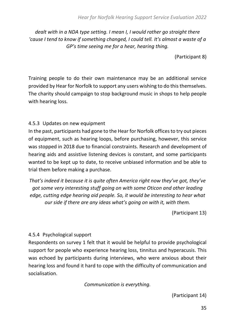*dealt with in a NDA type setting. I mean I, I would rather go straight there 'cause I tend to know if something changed, I could tell. It's almost a waste of a GP's time seeing me for a hear, hearing thing.*

(Participant 8)

Training people to do their own maintenance may be an additional service provided by Hear for Norfolk to support any users wishing to do this themselves. The charity should campaign to stop background music in shops to help people with hearing loss.

#### <span id="page-34-0"></span>4.5.3 Updates on new equipment

In the past, participants had gone to the Hear for Norfolk offices to try out pieces of equipment, such as hearing loops, before purchasing, however, this service was stopped in 2018 due to financial constraints. Research and development of hearing aids and assistive listening devices is constant, and some participants wanted to be kept up to date, to receive unbiased information and be able to trial them before making a purchase.

*That's indeed it because it is quite often America right now they've got, they've got some very interesting stuff going on with some Oticon and other leading edge, cutting edge hearing aid people. So, it would be interesting to hear what our side if there are any ideas what's going on with it, with them.*

(Participant 13)

#### <span id="page-34-1"></span>4.5.4 Psychological support

Respondents on survey 1 felt that it would be helpful to provide psychological support for people who experience hearing loss, tinnitus and hyperacusis. This was echoed by participants during interviews, who were anxious about their hearing loss and found it hard to cope with the difficulty of communication and socialisation.

*Communication is everything.*

(Participant 14)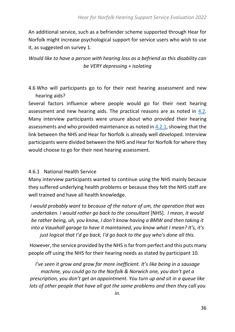An additional service, such as a befriender scheme supported through Hear for Norfolk might increase psychological support for service users who wish to use it, as suggested on survey 1.

### *Would like to have a person with hearing loss as a befriend as this disability can be VERY depressing + isolating*

<span id="page-35-0"></span>4.6 Who will participants go to for their next hearing assessment and new hearing aids?

Several factors influence where people would go for their next hearing assessment and new hearing aids. The practical reasons are as noted in [4.2.](#page-16-3) Many interview participants were unsure about who provided their hearing assessments and who provided maintenance as noted in [4.2.1,](#page-17-0) showing that the link between the NHS and Hear for Norfolk is already well developed. Interview participants were divided between the NHS and Hear for Norfolk for where they would choose to go for their next hearing assessment.

#### <span id="page-35-1"></span>4.6.1 National Health Service

Many interview participants wanted to continue using the NHS mainly because they suffered underlying health problems or because they felt the NHS staff are well trained and have all health knowledge.

*I would probably want to because of the nature of um, the operation that was undertaken. I would rather go back to the consultant* [NHS]*. I mean, it would be rather being, uh, you know, I don't know having a BMW and then taking it into a Vauxhall garage to have it maintained, you know what I mean? It's, it's just logical that I'd go back, I'd go back to the guy who's done all this.*

However, the service provided by the NHS is far from perfect and this puts many people off using the NHS for their hearing needs as stated by participant 10.

*I've seen it grow and grow far more inefficient. It's like being in a sausage machine, you could go to the Norfolk & Norwich one, you don't get a prescription, you don't get an appointment. You turn up and sit in a queue like lots of other people that have all got the same problems and then they call you*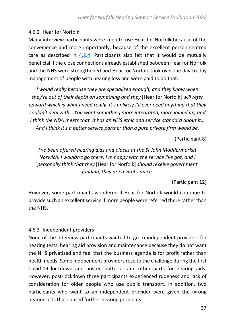### <span id="page-36-0"></span>4.6.2 Hear for Norfolk

Many interview participants were keen to use Hear for Norfolk because of the convenience and more importantly, because of the excellent person-centred care as described in [4.2.4.](#page-23-0) Participants also felt that it would be mutually beneficial if the close connections already established between Hear for Norfolk and the NHS were strengthened and Hear for Norfolk took over the day-to-day management of people with hearing loss and were paid to do that.

*I would really because they are specialized enough, and they know when they're out of their depth on something and they* [Hear for Norfolk] *will refer upward which is what I need really. It's unlikely I'll ever need anything that they couldn't deal with… You want something more integrated, more joined up, and I think the NDA meets that. It has an NHS ethic and service standard about it… And I think it's a better service partner than a pure private firm would be.*

(Participant 8)

*I've been offered hearing aids and places at the St John Maddermarket Norwich. I wouldn't go there, I'm happy with the service I've got, and I personally think that they* [Hear for Norfolk] *should receive government funding, they are a vital service.* 

(Participant 12)

However, some participants wondered if Hear for Norfolk would continue to provide such an excellent service if more people were referred there rather than the NHS.

### <span id="page-36-1"></span>4.6.3 Independent providers

None of the interview participants wanted to go to independent providers for hearing tests, hearing aid provision and maintenance because they do not want the NHS privatised and feel that the business agenda is for profit rather than health needs. Some independent providers rose to the challenge during the first Covid-19 lockdown and posted batteries and other parts for hearing aids. However, post-lockdown three participants experienced rudeness and lack of consideration for older people who use public transport. In addition, two participants who went to an independent provider were given the wrong hearing aids that caused further hearing problems.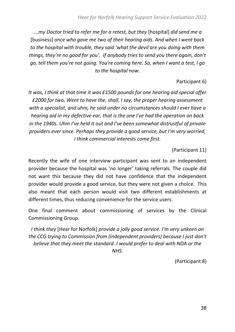*….my Doctor tried to refer me for a retest, but they* [hospital] *did send me a*  [business] *once who gave me two of their hearing aids. And when I went back to the hospital with trouble, they said 'what the devil are you doing with them things, they're no good for you'. If anybody tries to send you there again, don't go, tell them you're not going. You're coming here. So, when I want a test, I go to the hospital now.*

#### Participant 6)

*It was, I think at that time it was £1500 pounds for one hearing aid special offer £2000 for two. Went to have the, shall, I say, the proper hearing assessment with a specialist, and uhm, he said under no circumstances should I ever have a hearing aid in my defective ear, that is the one I've had the operation on back in the 1940s. Uhm I've held it out and I've been somewhat distrustful of private providers ever since. Perhaps they provide a good service, but I'm very worried, I think commercial interests come first.*

#### (Participant 11)

Recently the wife of one interview participant was sent to an independent provider because the hospital was 'no longer' taking referrals. The couple did not want this because they did not have confidence that the independent provider would provide a good service, but they were not given a choice. This also meant that each person would visit two different establishments at different times, thus reducing convenience for the service users.

One final comment about commissioning of services by the Clinical Commissioning Group.

*I think they* [Hear for Norfolk] *provide a jolly good service. I'm very unkeen on the CCG trying to Commission from (independent providers) because I just don't believe that they meet the standard. I would prefer to deal with NDA or the NHS*.

(Participant 8)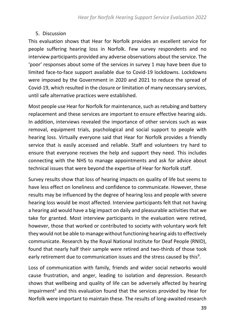### <span id="page-38-0"></span>5. Discussion

This evaluation shows that Hear for Norfolk provides an excellent service for people suffering hearing loss in Norfolk. Few survey respondents and no interview participants provided any adverse observations about the service. The 'poor' responses about some of the services in survey 1 may have been due to limited face-to-face support available due to Covid-19 lockdowns. Lockdowns were imposed by the Government in 2020 and 2021 to reduce the spread of Covid-19, which resulted in the closure or limitation of many necessary services, until safe alternative practices were established.

Most people use Hear for Norfolk for maintenance, such as retubing and battery replacement and these services are important to ensure effective hearing aids. In addition, interviews revealed the importance of other services such as wax removal, equipment trials, psychological and social support to people with hearing loss. Virtually everyone said that Hear for Norfolk provides a friendly service that is easily accessed and reliable. Staff and volunteers try hard to ensure that everyone receives the help and support they need. This includes connecting with the NHS to manage appointments and ask for advice about technical issues that were beyond the expertise of Hear for Norfolk staff.

Survey results show that loss of hearing impacts on quality of life but seems to have less effect on loneliness and confidence to communicate. However, these results may be influenced by the degree of hearing loss and people with severe hearing loss would be most affected. Interview participants felt that not having a hearing aid would have a big impact on daily and pleasurable activities that we take for granted. Most interview participants in the evaluation were retired, however, those that worked or contributed to society with voluntary work felt they would not be able to manage without functioning hearing aids to effectively communicate. Research by the Royal National Institute for Deaf People (RNID), found that nearly half their sample were retired and two-thirds of those took early retirement due to communication issues and the stress caused by this<sup>9</sup>.

Loss of communication with family, friends and wider social networks would cause frustration, and anger, leading to isolation and depression. Research shows that wellbeing and quality of life can be adversely affected by hearing impairment<sup>5</sup> and this evaluation found that the services provided by Hear for Norfolk were important to maintain these. The results of long-awaited research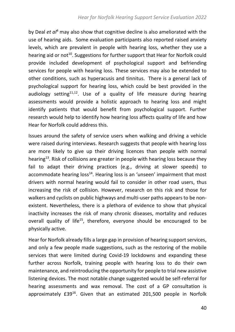by Deal *et al*<sup>4</sup> may also show that cognitive decline is also ameliorated with the use of hearing aids. Some evaluation participants also reported raised anxiety levels, which are prevalent in people with hearing loss, whether they use a hearing aid or not<sup>10</sup>. Suggestions for further support that Hear for Norfolk could provide included development of psychological support and befriending services for people with hearing loss. These services may also be extended to other conditions, such as hyperacusis and tinnitus. There is a general lack of psychological support for hearing loss, which could be best provided in the audiology setting<sup>11,12</sup>. Use of a quality of life measure during hearing assessments would provide a holistic approach to hearing loss and might identify patients that would benefit from psychological support. Further research would help to identify how hearing loss affects quality of life and how Hear for Norfolk could address this.

Issues around the safety of service users when walking and driving a vehicle were raised during interviews. Research suggests that people with hearing loss are more likely to give up their driving licences than people with normal hearing<sup>13</sup>. Risk of collisions are greater in people with hearing loss because they fail to adapt their driving practices (e.g., driving at slower speeds) to accommodate hearing loss<sup>14</sup>. Hearing loss is an 'unseen' impairment that most drivers with normal hearing would fail to consider in other road users, thus increasing the risk of collision. However, research on this risk and those for walkers and cyclists on public highways and multi-user paths appears to be nonexistent. Nevertheless, there is a plethora of evidence to show that physical inactivity increases the risk of many chronic diseases, mortality and reduces overall quality of life<sup>15</sup>, therefore, everyone should be encouraged to be physically active.

Hear for Norfolk already fills a large gap in provision of hearing support services, and only a few people made suggestions, such as the restoring of the mobile services that were limited during Covid-19 lockdowns and expanding these further across Norfolk, training people with hearing loss to do their own maintenance, and reintroducing the opportunity for people to trial new assistive listening devices. The most notable change suggested would be self-referral for hearing assessments and wax removal. The cost of a GP consultation is approximately £39<sup>16</sup>. Given that an estimated 201,500 people in Norfolk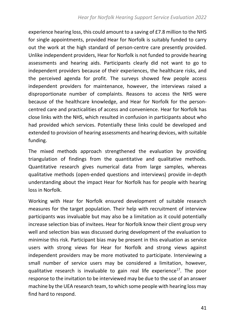experience hearing loss, this could amount to a saving of £7.8 million to the NHS for single appointments, provided Hear for Norfolk is suitably funded to carry out the work at the high standard of person-centre care presently provided. Unlike independent providers, Hear for Norfolk is not funded to provide hearing assessments and hearing aids. Participants clearly did not want to go to independent providers because of their experiences, the healthcare risks, and the perceived agenda for profit. The surveys showed few people access independent providers for maintenance, however, the interviews raised a disproportionate number of complaints. Reasons to access the NHS were because of the healthcare knowledge, and Hear for Norfolk for the personcentred care and practicalities of access and convenience. Hear for Norfolk has close links with the NHS, which resulted in confusion in participants about who had provided which services. Potentially these links could be developed and extended to provision of hearing assessments and hearing devices, with suitable funding.

The mixed methods approach strengthened the evaluation by providing triangulation of findings from the quantitative and qualitative methods. Quantitative research gives numerical data from large samples, whereas qualitative methods (open-ended questions and interviews) provide in-depth understanding about the impact Hear for Norfolk has for people with hearing loss in Norfolk.

Working with Hear for Norfolk ensured development of suitable research measures for the target population. Their help with recruitment of interview participants was invaluable but may also be a limitation as it could potentially increase selection bias of invitees. Hear for Norfolk know their client group very well and selection bias was discussed during development of the evaluation to minimise this risk. Participant bias may be present in this evaluation as service users with strong views for Hear for Norfolk and strong views against independent providers may be more motivated to participate. Interviewing a small number of service users may be considered a limitation, however, qualitative research is invaluable to gain real life experience<sup>17</sup>. The poor response to the invitation to be interviewed may be due to the use of an answer machine by the UEA research team, to which some people with hearing loss may find hard to respond.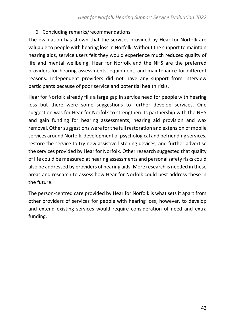### <span id="page-41-0"></span>6. Concluding remarks/recommendations

The evaluation has shown that the services provided by Hear for Norfolk are valuable to people with hearing lossin Norfolk. Without the support to maintain hearing aids, service users felt they would experience much reduced quality of life and mental wellbeing. Hear for Norfolk and the NHS are the preferred providers for hearing assessments, equipment, and maintenance for different reasons. Independent providers did not have any support from interview participants because of poor service and potential health risks.

Hear for Norfolk already fills a large gap in service need for people with hearing loss but there were some suggestions to further develop services. One suggestion was for Hear for Norfolk to strengthen its partnership with the NHS and gain funding for hearing assessments, hearing aid provision and wax removal. Other suggestions were for the full restoration and extension of mobile services around Norfolk, development of psychological and befriending services, restore the service to try new assistive listening devices, and further advertise the services provided by Hear for Norfolk. Other research suggested that quality of life could be measured at hearing assessments and personal safety risks could also be addressed by providers of hearing aids. More research is needed in these areas and research to assess how Hear for Norfolk could best address these in the future.

The person-centred care provided by Hear for Norfolk is what sets it apart from other providers of services for people with hearing loss, however, to develop and extend existing services would require consideration of need and extra funding.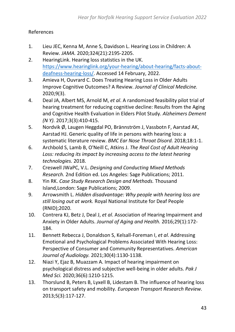### <span id="page-42-0"></span>References

- 1. Lieu JEC, Kenna M, Anne S, Davidson L. Hearing Loss in Children: A Review. *JAMA.* 2020;324(21):2195-2205.
- 2. HearingLink. Hearing loss statistics in the UK. [https://www.hearinglink.org/your-hearing/about-hearing/facts-about](https://www.hearinglink.org/your-hearing/about-hearing/facts-about-deafness-hearing-loss/)[deafness-hearing-loss/.](https://www.hearinglink.org/your-hearing/about-hearing/facts-about-deafness-hearing-loss/) Accessed 14 February, 2022.
- 3. Amieva H, Ouvrard C. Does Treating Hearing Loss in Older Adults Improve Cognitive Outcomes? A Review. *Journal of Clinical Medicine.*  2020;9(3).
- 4. Deal JA, Albert MS, Arnold M, *et al*. A randomized feasibility pilot trial of hearing treatment for reducing cognitive decline: Results from the Aging and Cognitive Health Evaluation in Elders Pilot Study. *Alzheimers Dement (N Y).* 2017;3(3):410-415.
- 5. Nordvik Ø, Laugen Heggdal PO, Brännström J, Vassbotn F, Aarstad AK, Aarstad HJ. Generic quality of life in persons with hearing loss: a systematic literature review. *BMC Ear Nose Throat Disord.* 2018;18:1-1.
- 6. Archbold S, Lamb B, O'Neill C, Atkins J. *The Real Cost of Adult Hearing Loss: reducing its impact by increasing access to the latest hearing technologies.* 2018.
- 7. Creswell JWaPC, V.L. *Designing and Conducting Mixed Methods Research.* 2nd Edition ed. Los Angeles: Sage Publications; 2011.
- 8. Yin RK. *Case Study Research Design and Methods.* Thousand Island,London: Sage Publications; 2009.
- 9. Arrowsmith L. *Hidden disadvantage: Why people with hearing loss are still losing out at work.* Royal National Institute for Deaf People (RNID);2020.
- 10. Contrera KJ, Betz J, Deal J, *et al*. Association of Hearing Impairment and Anxiety in Older Adults. *Journal of Aging and Health.* 2016;29(1):172- 184.
- 11. Bennett Rebecca J, Donaldson S, Kelsall-Foreman I, *et al*. Addressing Emotional and Psychological Problems Associated With Hearing Loss: Perspective of Consumer and Community Representatives. *American Journal of Audiology.* 2021;30(4):1130-1138.
- 12. Niazi Y, Ejaz B, Muazzam A. Impact of hearing impairment on psychological distress and subjective well-being in older adults. *Pak J Med Sci.* 2020;36(6):1210-1215.
- 13. Thorslund B, Peters B, Lyxell B, Lidestam B. The influence of hearing loss on transport safety and mobility. *European Transport Research Review.*  2013;5(3):117-127.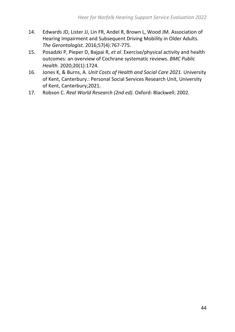- 14. Edwards JD, Lister JJ, Lin FR, Andel R, Brown L, Wood JM. Association of Hearing Impairment and Subsequent Driving Mobility in Older Adults. *The Gerontologist.* 2016;57(4):767-775.
- 15. Posadzki P, Pieper D, Bajpai R, *et al*. Exercise/physical activity and health outcomes: an overview of Cochrane systematic reviews. *BMC Public Health.* 2020;20(1):1724.
- 16. Jones K, & Burns, A. *Unit Costs of Health and Social Care 2021.* University of Kent, Canterbury.: Personal Social Services Research Unit, University of Kent, Canterbury;2021.
- 17. Robson C. *Real World Research (2nd ed).* Oxford: Blackwell; 2002.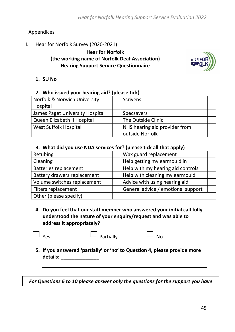### <span id="page-44-0"></span>Appendices

<span id="page-44-1"></span>I. Hear for Norfolk Survey (2020-2021)

### **Hear for Norfolk (the working name of Norfolk Deaf Association) Hearing Support Service Questionnaire**



#### **1. SU No**

#### **2. Who issued your hearing aid? (please tick)**

| Norfolk & Norwich University    |  | <b>Scrivens</b>               |  |  |  |
|---------------------------------|--|-------------------------------|--|--|--|
| Hospital                        |  |                               |  |  |  |
| James Paget University Hospital |  | <b>Specsavers</b>             |  |  |  |
| Queen Elizabeth II Hospital     |  | The Outside Clinic            |  |  |  |
| West Suffolk Hospital           |  | NHS hearing aid provider from |  |  |  |
|                                 |  | outside Norfolk               |  |  |  |

#### **3. What did you use NDA services for? (please tick all that apply)**

| Retubing                     | Wax guard replacement              |
|------------------------------|------------------------------------|
| Cleaning                     | Help getting my earmould in        |
| <b>Batteries replacement</b> | Help with my hearing aid controls  |
| Battery drawers replacement  | Help with cleaning my earmould     |
| Volume switches replacement  | Advice with using hearing aid      |
| Filters replacement          | General advice / emotional support |
| Other (please specify)       |                                    |

**4. Do you feel that our staff member who answered your initial call fully understood the nature of your enquiry/request and was able to address it appropriately?**

**5. If you answered 'partially' or 'no' to Question 4, please provide more details: \_\_\_\_\_\_\_\_\_\_\_\_\_\_**

*For Questions 6 to 10 please answer only the questions for the support you have*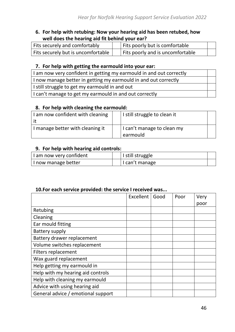#### **6. For help with retubing: Now your hearing aid has been retubed, how well does the hearing aid fit behind your ear?**

| Fits securely and comfortably      | Fits poorly but is comfortable   |  |
|------------------------------------|----------------------------------|--|
| Fits securely but is uncomfortable | Fits poorly and is uncomfortable |  |

#### **7. For help with getting the earmould into your ear:**

| I am now very confident in getting my earmould in and out correctly |  |
|---------------------------------------------------------------------|--|
| I now manage better in getting my earmould in and out correctly     |  |
| I still struggle to get my earmould in and out                      |  |
| I can't manage to get my earmould in and out correctly              |  |

#### **8. For help with cleaning the earmould:**

| I am now confident with cleaning | I still struggle to clean it |  |
|----------------------------------|------------------------------|--|
|                                  |                              |  |
| I manage better with cleaning it | I can't manage to clean my   |  |
|                                  | earmould                     |  |

#### **9. For help with hearing aid controls:**

| I am now very confident | I still struggle |  |
|-------------------------|------------------|--|
| I now manage better     | I can't manage   |  |

### **10.For each service provided: the service I received was...**

|                                    | <b>Excellent</b> | Good | Poor | Very |
|------------------------------------|------------------|------|------|------|
|                                    |                  |      |      | poor |
| Retubing                           |                  |      |      |      |
| Cleaning                           |                  |      |      |      |
| Ear mould fitting                  |                  |      |      |      |
| Battery supply                     |                  |      |      |      |
| Battery drawer replacement         |                  |      |      |      |
| Volume switches replacement        |                  |      |      |      |
| <b>Filters replacement</b>         |                  |      |      |      |
| Wax guard replacement              |                  |      |      |      |
| Help getting my earmould in        |                  |      |      |      |
| Help with my hearing aid controls  |                  |      |      |      |
| Help with cleaning my earmould     |                  |      |      |      |
| Advice with using hearing aid      |                  |      |      |      |
| General advice / emotional support |                  |      |      |      |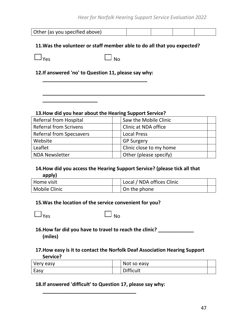#### *Hear for Norfolk Hearing Support Service Evaluation 2022*

| Other (as you specified above) |  |  |
|--------------------------------|--|--|
|                                |  |  |

#### **11.Was the volunteer or staff member able to do all that you expected?**

| rac ا | $\mathbf{I}$ and $\mathbf{I}$ | <b>No</b> |
|-------|-------------------------------|-----------|

### **12.If answered 'no' to Question 11, please say why: \_\_\_\_\_\_\_\_\_\_\_\_\_\_\_\_\_\_\_\_\_\_\_\_\_\_\_\_\_\_\_\_\_\_\_\_\_\_**

**\_\_\_\_\_\_\_\_\_\_\_\_\_\_\_\_\_\_\_\_**

#### **13.How did you hear about the Hearing Support Service?**

| <b>Referral from Hospital</b>   | Saw the Mobile Clinic   |
|---------------------------------|-------------------------|
| <b>Referral from Scrivens</b>   | Clinic at NDA office    |
| <b>Referral from Specsavers</b> | <b>Local Press</b>      |
| Website                         | <b>GP Surgery</b>       |
| Leaflet                         | Clinic close to my home |
| <b>NDA Newsletter</b>           | Other (please specify)  |

**\_\_\_\_\_\_\_\_\_\_\_\_\_\_\_\_\_\_\_\_\_\_\_\_\_\_\_\_\_\_\_\_\_\_\_\_\_\_\_\_\_\_\_\_\_\_\_\_\_\_\_\_\_\_\_\_\_\_\_**

#### **14.How did you access the Hearing Support Service? (please tick all that apply)**

| l Home visit  | Local / NDA offices Clinic |  |
|---------------|----------------------------|--|
| Mobile Clinic | On the phone               |  |

#### **15.Was the location of the service convenient for you?**

#### **16.How far did you have to travel to reach the clinic? \_\_\_\_\_\_\_\_\_\_\_\_\_ (miles)**

#### **17.How easy is it to contact the Norfolk Deaf Association Hearing Support Service?**

| Very easy | Not so easy      |  |
|-----------|------------------|--|
| Easy      | <b>Difficult</b> |  |

#### **18.If answered 'difficult' to Question 17, please say why:**

**\_\_\_\_\_\_\_\_\_\_\_\_\_\_\_\_\_\_\_\_\_\_\_\_\_\_\_\_\_\_\_\_\_\_**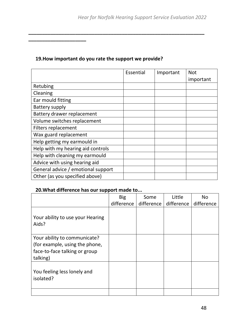### **19.How important do you rate the support we provide?**

**\_\_\_\_\_\_\_\_\_\_\_\_\_\_\_\_\_\_\_\_\_**

**\_\_\_\_\_\_\_\_\_\_\_\_\_\_\_\_\_\_\_\_\_\_\_\_\_\_\_\_\_\_\_\_\_\_\_\_\_\_\_\_\_\_\_\_\_\_\_\_\_\_\_\_\_\_\_\_\_\_\_\_\_\_\_\_**

|                                    | Essential | Important | <b>Not</b> |
|------------------------------------|-----------|-----------|------------|
|                                    |           |           | important  |
| Retubing                           |           |           |            |
| Cleaning                           |           |           |            |
| Ear mould fitting                  |           |           |            |
| <b>Battery supply</b>              |           |           |            |
| Battery drawer replacement         |           |           |            |
| Volume switches replacement        |           |           |            |
| Filters replacement                |           |           |            |
| Wax guard replacement              |           |           |            |
| Help getting my earmould in        |           |           |            |
| Help with my hearing aid controls  |           |           |            |
| Help with cleaning my earmould     |           |           |            |
| Advice with using hearing aid      |           |           |            |
| General advice / emotional support |           |           |            |
| Other (as you specified above)     |           |           |            |

### **20.What difference has our support made to...**

|                                                                                                             | <b>Big</b> | Some       | Little     | <b>No</b>  |
|-------------------------------------------------------------------------------------------------------------|------------|------------|------------|------------|
|                                                                                                             | difference | difference | difference | difference |
| Your ability to use your Hearing<br>Aids?                                                                   |            |            |            |            |
| Your ability to communicate?<br>(for example, using the phone,<br>face-to-face talking or group<br>talking) |            |            |            |            |
| You feeling less lonely and<br>isolated?                                                                    |            |            |            |            |
|                                                                                                             |            |            |            |            |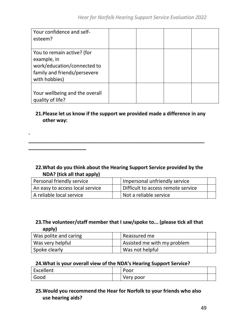| Your confidence and self-<br>esteem?                                                                                      |  |  |
|---------------------------------------------------------------------------------------------------------------------------|--|--|
| You to remain active? (for<br>example, in<br>work/education/connected to<br>family and friends/persevere<br>with hobbies) |  |  |
| Your wellbeing and the overall<br>quality of life?                                                                        |  |  |

### **21.Please let us know if the support we provided made a difference in any other way:**

**\_\_\_\_\_\_\_\_\_\_\_\_\_\_\_\_\_\_\_\_\_\_\_\_\_\_\_\_\_\_\_\_\_\_\_\_\_\_\_\_\_\_\_\_\_\_\_\_\_\_\_\_\_\_\_\_\_\_\_\_\_\_\_\_**

-

**\_\_\_\_\_\_\_\_\_\_\_\_\_\_\_\_\_\_\_\_\_**

#### **22.What do you think about the Hearing Support Service provided by the NDA? (tick all that apply)**

| Personal friendly service       | Impersonal unfriendly service      |  |
|---------------------------------|------------------------------------|--|
| An easy to access local service | Difficult to access remote service |  |
| A reliable local service        | Not a reliable service             |  |

#### **23.The volunteer/staff member that I saw/spoke to... (please tick all that apply)**

| Was polite and caring | Reassured me                |  |
|-----------------------|-----------------------------|--|
| Was very helpful      | Assisted me with my problem |  |
| Spoke clearly         | Was not helpful             |  |

#### **24.What is your overall view of the NDA's Hearing Support Service?**

| Excellent | Poor      |  |
|-----------|-----------|--|
| Good      | Very poor |  |

### **25.Would you recommend the Hear for Norfolk to your friends who also use hearing aids?**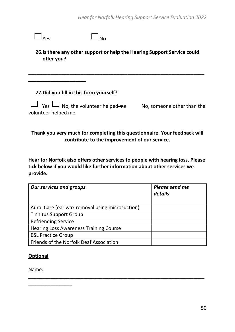| offer you?          |                                               | 26. Is there any other support or help the Hearing Support Service could  |
|---------------------|-----------------------------------------------|---------------------------------------------------------------------------|
|                     | 27. Did you fill in this form yourself?       |                                                                           |
| volunteer helped me | $\Box$ Yes $\Box$ No, the volunteer helped me | No, someone other than the                                                |
|                     | contribute to the improvement of our service. | Thank you very much for completing this questionnaire. Your feedback will |

**Hear for Norfolk also offers other services to people with hearing loss. Please tick below if you would like further information about other services we provide.** 

| <b>Our services and groups</b>                  | Please send me<br>details |
|-------------------------------------------------|---------------------------|
| Aural Care (ear wax removal using microsuction) |                           |
| <b>Tinnitus Support Group</b>                   |                           |
| <b>Befriending Service</b>                      |                           |
| <b>Hearing Loss Awareness Training Course</b>   |                           |
| <b>BSL Practice Group</b>                       |                           |
| Friends of the Norfolk Deaf Association         |                           |

\_\_\_\_\_\_\_\_\_\_\_\_\_\_\_\_\_\_\_\_\_\_\_\_\_\_\_\_\_\_\_\_\_\_\_\_\_\_\_\_\_\_\_\_\_\_\_\_\_\_\_\_\_\_\_\_\_\_\_\_\_\_\_\_

#### **Optional**

Name:

\_\_\_\_\_\_\_\_\_\_\_\_\_\_\_\_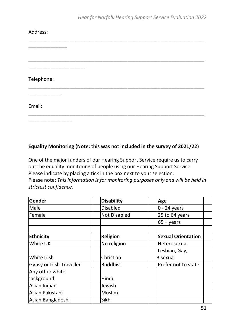| Address:   |  |  |
|------------|--|--|
|            |  |  |
|            |  |  |
| Telephone: |  |  |
|            |  |  |
| Email:     |  |  |
|            |  |  |

#### **Equality Monitoring (Note: this was not included in the survey of 2021/22)**

One of the major funders of our Hearing Support Service require us to carry out the equality monitoring of people using our Hearing Support Service. Please indicate by placing a tick in the box next to your selection. Please note: *This information is for monitoring purposes only and will be held in strictest confidence.*

| Gender                   | <b>Disability</b>   | Age                       |
|--------------------------|---------------------|---------------------------|
| Male                     | <b>Disabled</b>     | $0 - 24$ years            |
| Female                   | <b>Not Disabled</b> | 25 to 64 years            |
|                          |                     | $65 + \gamma$ ears        |
|                          |                     |                           |
| <b>Ethnicity</b>         | <b>Religion</b>     | <b>Sexual Orientation</b> |
| White UK                 | No religion         | Heterosexual              |
|                          |                     | Lesbian, Gay,             |
| White Irish              | Christian           | <b>Bisexual</b>           |
| Gypsy or Irish Traveller | <b>Buddhist</b>     | Prefer not to state       |
| Any other white          |                     |                           |
| background               | Hindu               |                           |
| Asian Indian             | Jewish              |                           |
| Asian Pakistani          | <b>Muslim</b>       |                           |
| Asian Bangladeshi        | Sikh                |                           |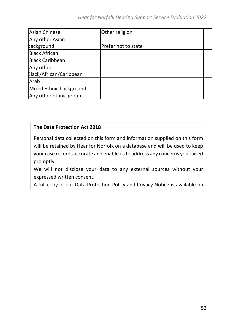| <b>Asian Chinese</b>    | Other religion      |  |  |
|-------------------------|---------------------|--|--|
| Any other Asian         |                     |  |  |
| packground              | Prefer not to state |  |  |
| <b>Black African</b>    |                     |  |  |
| <b>Black Caribbean</b>  |                     |  |  |
| Any other               |                     |  |  |
| Black/African/Caribbean |                     |  |  |
| Arab                    |                     |  |  |
| Mixed Ethnic background |                     |  |  |
| Any other ethnic group  |                     |  |  |

#### **The Data Protection Act 2018**

Personal data collected on this form and information supplied on this form will be retained by Hear for Norfolk on a database and will be used to keep your case records accurate and enable us to address any concerns you raised promptly.

We will not disclose your data to any external sources without your expressed written consent.

A full copy of our Data Protection Policy and Privacy Notice is available on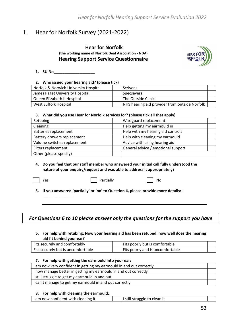### <span id="page-52-0"></span>II. Hear for Norfolk Survey (2021-2022)

#### **Hear for Norfolk (the working name of Norfolk Deaf Association - NDA) Hearing Support Service Questionnaire**



**1. SU No\_\_\_\_\_\_\_\_\_\_\_\_\_\_\_\_\_\_\_**

#### **2. Who issued your hearing aid? (please tick)**

| Norfolk & Norwich University Hospital | <b>Scrivens</b>                               |  |
|---------------------------------------|-----------------------------------------------|--|
| James Paget University Hospital       | Specsavers                                    |  |
| Queen Elizabeth II Hospital           | The Outside Clinic                            |  |
| West Suffolk Hospital                 | NHS hearing aid provider from outside Norfolk |  |

#### **3. What did you use Hear for Norfolk services for? (please tick all that apply)**

| Retubing                     | Wax guard replacement              |  |
|------------------------------|------------------------------------|--|
| Cleaning                     | Help getting my earmould in        |  |
| <b>Batteries replacement</b> | Help with my hearing aid controls  |  |
| Battery drawers replacement  | Help with cleaning my earmould     |  |
| Volume switches replacement  | Advice with using hearing aid      |  |
| Filters replacement          | General advice / emotional support |  |
| Other (please specify)       |                                    |  |

#### **4. Do you feel that our staff member who answered your initial call fully understood the nature of your enquiry/request and was able to address it appropriately?**

**\_\_\_\_\_\_\_\_\_\_\_\_\_\_**

Yes and Partially Partially Partial Point in the No

**5. If you answered 'partially' or 'no' to Question 4, please provide more details: -**

#### *For Questions 6 to 10 please answer only the questions for the support you have*

#### **6. For help with retubing: Now your hearing aid has been retubed, how well does the hearing aid fit behind your ear?**

| Fits securely and comfortably      | Fits poorly but is comfortable   |  |
|------------------------------------|----------------------------------|--|
| Fits securely but is uncomfortable | Fits poorly and is uncomfortable |  |

#### **7. For help with getting the earmould into your ear:**

| I am now very confident in getting my earmould in and out correctly |  |
|---------------------------------------------------------------------|--|
| I now manage better in getting my earmould in and out correctly     |  |
| I still struggle to get my earmould in and out                      |  |
| I can't manage to get my earmould in and out correctly              |  |
|                                                                     |  |

#### **8. For help with cleaning the earmould:**

|  | I am now confident with cleaning it |  | I still struggle to clean it |  |
|--|-------------------------------------|--|------------------------------|--|
|--|-------------------------------------|--|------------------------------|--|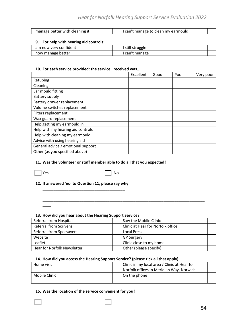#### *Hear for Norfolk Hearing Support Service Evaluation 2022*

| I manage better with cleaning it | can't manage to clean my earmould |  |
|----------------------------------|-----------------------------------|--|

#### **9. For help with hearing aid controls:**

| I am now very confident | ı still struggle |  |
|-------------------------|------------------|--|
| I now manage better     | can't manage     |  |
|                         |                  |  |

#### **10. For each service provided: the service I received was...**

|                                    | Excellent | Good | Poor | Very poor |
|------------------------------------|-----------|------|------|-----------|
| Retubing                           |           |      |      |           |
| Cleaning                           |           |      |      |           |
| Ear mould fitting                  |           |      |      |           |
| Battery supply                     |           |      |      |           |
| Battery drawer replacement         |           |      |      |           |
| Volume switches replacement        |           |      |      |           |
| Filters replacement                |           |      |      |           |
| Wax guard replacement              |           |      |      |           |
| Help getting my earmould in        |           |      |      |           |
| Help with my hearing aid controls  |           |      |      |           |
| Help with cleaning my earmould     |           |      |      |           |
| Advice with using hearing aid      |           |      |      |           |
| General advice / emotional support |           |      |      |           |
| Other (as you specified above)     |           |      |      |           |

#### **11. Was the volunteer or staff member able to do all that you expected?**

**\_\_\_\_**

Yes No. 2012 | No. 2014

**12. If answered 'no' to Question 11, please say why: \_\_\_\_\_\_\_\_\_\_\_\_\_\_\_\_\_\_\_\_\_\_\_\_\_\_\_\_\_\_\_\_\_\_\_\_\_\_**

#### **13. How did you hear about the Hearing Support Service?**

| Referral from Hospital          | Saw the Mobile Clinic             |  |
|---------------------------------|-----------------------------------|--|
| <b>Referral from Scrivens</b>   | Clinic at Hear for Norfolk office |  |
| <b>Referral from Specsavers</b> | <b>Local Press</b>                |  |
| Website                         | <b>GP Surgery</b>                 |  |
| Leaflet                         | Clinic close to my home           |  |
| Hear for Norfolk Newsletter     | Other (please specify)            |  |

**\_\_\_\_\_\_\_\_\_\_\_\_\_\_\_\_\_\_\_\_\_\_\_\_\_\_\_\_\_\_\_\_\_\_\_\_\_\_\_\_\_\_\_\_\_\_\_\_\_\_\_\_\_\_\_\_\_\_\_\_\_\_\_\_\_\_\_\_\_\_\_\_\_\_\_**

#### **14. How did you access the Hearing Support Service? (please tick all that apply)**

| Home visit    | Clinic in my local area / Clinic at Hear for |  |
|---------------|----------------------------------------------|--|
|               | Norfolk offices in Meridian Way, Norwich     |  |
| Mobile Clinic | On the phone                                 |  |
|               |                                              |  |

#### **15. Was the location of the service convenient for you?**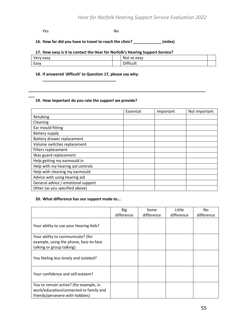#### **Yes** No

**\_\_\_**

**\_\_\_\_\_\_\_\_\_\_\_\_\_\_\_\_\_\_\_\_\_\_\_\_\_\_\_\_\_\_\_\_\_\_\_\_\_\_\_\_\_\_\_\_\_\_\_\_\_\_\_\_\_\_\_\_\_\_\_\_\_\_\_\_\_\_\_\_\_\_\_\_\_\_\_\_\_\_\_\_\_\_**

#### **16. How far did you have to travel to reach the clinic? \_\_\_\_\_\_\_\_\_\_\_\_\_ (miles)**

#### **17. How easy is it to contact the Hear for Norfolk's Hearing Support Service?**

| verv<br>easy | Not so<br>easy |  |
|--------------|----------------|--|
| Easy         | Difficult      |  |

#### **18. If answered 'difficult' to Question 17, please say why:**

**\_\_\_\_\_\_\_\_\_\_\_\_\_\_\_\_\_\_\_\_\_\_\_\_\_\_\_\_\_\_\_\_\_\_**

#### **19. How important do you rate the support we provide?**

|                                    | Essential | Important | Not important |
|------------------------------------|-----------|-----------|---------------|
| Retubing                           |           |           |               |
| Cleaning                           |           |           |               |
| Ear mould fitting                  |           |           |               |
| Battery supply                     |           |           |               |
| Battery drawer replacement         |           |           |               |
| Volume switches replacement        |           |           |               |
| Filters replacement                |           |           |               |
| Wax guard replacement              |           |           |               |
| Help getting my earmould in        |           |           |               |
| Help with my hearing aid controls  |           |           |               |
| Help with cleaning my earmould     |           |           |               |
| Advice with using hearing aid      |           |           |               |
| General advice / emotional support |           |           |               |
| Other (as you specified above)     |           |           |               |

#### **20. What difference has our support made to...**

|                                        | <b>Big</b> | Some       | Little     | No         |
|----------------------------------------|------------|------------|------------|------------|
|                                        | difference | difference | difference | difference |
| Your ability to use your Hearing Aids? |            |            |            |            |
| Your ability to communicate? (for      |            |            |            |            |
| example, using the phone, face-to-face |            |            |            |            |
| talking or group talking)              |            |            |            |            |
| You feeling less lonely and isolated?  |            |            |            |            |
| Your confidence and self-esteem?       |            |            |            |            |
| You to remain active? (for example, in |            |            |            |            |
| work/education/connected to family and |            |            |            |            |
| friends/persevere with hobbies)        |            |            |            |            |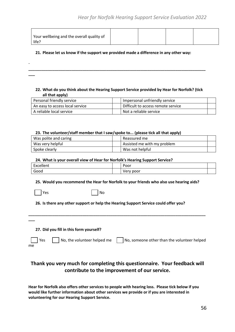| Your wellbeing and the overall quality of |  |  |
|-------------------------------------------|--|--|
| life?                                     |  |  |

#### **21. Please let us know if the support we provided made a difference in any other way:**

**22. What do you think about the Hearing Support Service provided by Hear for Norfolk? (tick all that apply)**

**\_\_\_\_\_\_\_\_\_\_\_\_\_\_\_\_\_\_\_\_\_\_\_\_\_\_\_\_\_\_\_\_\_\_\_\_\_\_\_\_\_\_\_\_\_\_\_\_\_\_\_\_\_\_\_\_\_\_\_\_\_\_\_\_\_\_\_\_\_\_\_\_\_\_\_\_\_\_\_\_\_\_**

| Personal friendly service       | Impersonal unfriendly service      |  |
|---------------------------------|------------------------------------|--|
| An easy to access local service | Difficult to access remote service |  |
| A reliable local service        | Not a reliable service             |  |

#### **23. The volunteer/staff member that I saw/spoke to... (please tick all that apply)**

| Was polite and caring | Reassured me                |  |
|-----------------------|-----------------------------|--|
| Was very helpful      | Assisted me with my problem |  |
| Spoke clearly         | Was not helpful             |  |

#### **24. What is your overall view of Hear for Norfolk's Hearing Support Service?**

| -<br>المسم المصدر<br>ہ در رہے<br>------ | Poor      |  |
|-----------------------------------------|-----------|--|
| Goog                                    | poor<br>◡ |  |

#### **25. Would you recommend the Hear for Norfolk to your friends who also use hearing aids?**

|  | ×<br>۰.<br>× |
|--|--------------|
|--|--------------|

-

**\_\_\_**

Yes No

#### **26. Is there any other support or help the Hearing Support Service could offer you?**

|                   | 27. Did you fill in this form yourself? |                                             |
|-------------------|-----------------------------------------|---------------------------------------------|
| $ $ Yes $ $<br>me | No, the volunteer helped me             | No, someone other than the volunteer helped |

**\_\_\_\_\_\_\_\_\_\_\_\_\_\_\_\_\_\_\_\_\_\_\_\_\_\_\_\_\_\_\_\_\_\_\_\_\_\_\_\_\_\_\_\_\_\_\_\_\_\_\_\_\_\_\_\_\_\_\_\_\_\_\_\_\_\_\_\_\_\_\_\_\_\_\_\_\_\_\_\_\_\_**

#### **Thank you very much for completing this questionnaire. Your feedback will contribute to the improvement of our service.**

**Hear for Norfolk also offers other services to people with hearing loss. Please tick below if you would like further information about other services we provide or if you are interested in volunteering for our Hearing Support Service.**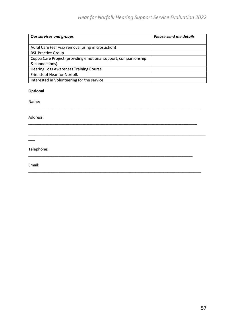| <b>Our services and groups</b>                                 | Please send me details |
|----------------------------------------------------------------|------------------------|
|                                                                |                        |
| Aural Care (ear wax removal using microsuction)                |                        |
| <b>BSL Practice Group</b>                                      |                        |
| Cuppa Care Project (providing emotional support, companionship |                        |
| & connections)                                                 |                        |
| <b>Hearing Loss Awareness Training Course</b>                  |                        |
| Friends of Hear for Norfolk                                    |                        |
| Interested in Volunteering for the service                     |                        |

\_\_\_\_\_\_\_\_\_\_\_\_\_\_\_\_\_\_\_\_\_\_\_\_\_\_\_\_\_\_\_\_\_\_\_\_\_\_\_\_\_\_\_\_\_\_\_\_\_\_\_\_\_\_\_\_\_\_\_\_\_\_\_\_\_\_\_\_\_\_\_\_\_\_\_\_\_\_\_\_

\_\_\_\_\_\_\_\_\_\_\_\_\_\_\_\_\_\_\_\_\_\_\_\_\_\_\_\_\_\_\_\_\_\_\_\_\_\_\_\_\_\_\_\_\_\_\_\_\_\_\_\_\_\_\_\_\_\_\_\_\_\_\_\_\_\_\_\_\_\_\_\_\_\_\_\_\_\_

\_\_\_\_\_\_\_\_\_\_\_\_\_\_\_\_\_\_\_\_\_\_\_\_\_\_\_\_\_\_\_\_\_\_\_\_\_\_\_\_\_\_\_\_\_\_\_\_\_\_\_\_\_\_\_\_\_\_\_\_\_\_\_\_\_\_\_\_\_\_\_\_\_\_\_\_

\_\_\_\_\_\_\_\_\_\_\_\_\_\_\_\_\_\_\_\_\_\_\_\_\_\_\_\_\_\_\_\_\_\_\_\_\_\_\_\_\_\_\_\_\_\_\_\_\_\_\_\_\_\_\_\_\_\_\_\_\_\_\_\_\_\_\_\_\_\_\_\_\_\_\_\_\_\_\_\_

\_\_\_\_\_\_\_\_\_\_\_\_\_\_\_\_\_\_\_\_\_\_\_\_\_\_\_\_\_\_\_\_\_\_\_\_\_\_\_\_\_\_\_\_\_\_\_\_\_\_\_\_\_\_\_\_\_\_\_\_\_\_\_\_\_\_\_\_\_\_\_\_\_\_\_\_\_\_\_\_\_\_

#### **Optional**

Name:

Address:

\_\_\_

Telephone:

Email: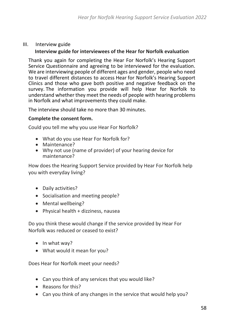#### <span id="page-57-0"></span>III. Interview guide

#### **Interview guide for interviewees of the Hear for Norfolk evaluation**

Thank you again for completing the Hear For Norfolk's Hearing Support Service Questionnaire and agreeing to be interviewed for the evaluation. We are interviewing people of different ages and gender, people who need to travel different distances to access Hear for Norfolk's Hearing Support Clinics and those who gave both positive and negative feedback on the survey. The information you provide will help Hear for Norfolk to understand whether they meet the needs of people with hearing problems in Norfolk and what improvements they could make.

The interview should take no more than 30 minutes.

#### **Complete the consent form.**

Could you tell me why you use Hear For Norfolk?

- What do you use Hear For Norfolk for?
- Maintenance?
- Why not use (name of provider) of your hearing device for maintenance?

How does the Hearing Support Service provided by Hear For Norfolk help you with everyday living?

- Daily activities?
- Socialisation and meeting people?
- Mental wellbeing?
- Physical health + dizziness, nausea

Do you think these would change if the service provided by Hear For Norfolk was reduced or ceased to exist?

- In what way?
- What would it mean for you?

Does Hear for Norfolk meet your needs?

- Can you think of any services that you would like?
- Reasons for this?
- Can you think of any changes in the service that would help you?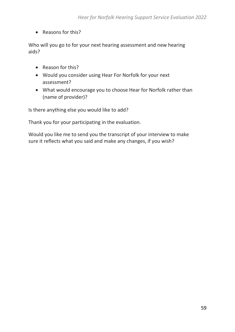• Reasons for this?

Who will you go to for your next hearing assessment and new hearing aids?

- Reason for this?
- Would you consider using Hear For Norfolk for your next assessment?
- What would encourage you to choose Hear for Norfolk rather than (name of provider)?

Is there anything else you would like to add?

Thank you for your participating in the evaluation.

Would you like me to send you the transcript of your interview to make sure it reflects what you said and make any changes, if you wish?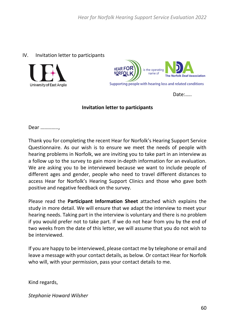#### <span id="page-59-0"></span>IV. Invitation letter to participants





Date:…..

#### **Invitation letter to participants**

Dear …………..,

Thank you for completing the recent Hear for Norfolk's Hearing Support Service Questionnaire. As our wish is to ensure we meet the needs of people with hearing problems in Norfolk, we are inviting you to take part in an interview as a follow up to the survey to gain more in-depth information for an evaluation. We are asking you to be interviewed because we want to include people of different ages and gender, people who need to travel different distances to access Hear for Norfolk's Hearing Support Clinics and those who gave both positive and negative feedback on the survey.

Please read the **Participant Information Sheet** attached which explains the study in more detail. We will ensure that we adapt the interview to meet your hearing needs. Taking part in the interview is voluntary and there is no problem if you would prefer not to take part. If we do not hear from you by the end of two weeks from the date of this letter, we will assume that you do not wish to be interviewed.

If you are happy to be interviewed, please contact me by telephone or email and leave a message with your contact details, as below. Or contact Hear for Norfolk who will, with your permission, pass your contact details to me.

Kind regards,

*Stephanie Howard Wilsher*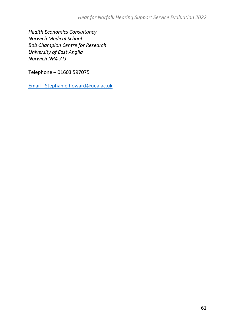*Health Economics Consultancy Norwich Medical School Bob Champion Centre for Research University of East Anglia Norwich NR4 7TJ*

Telephone – 01603 597075

Email - [Stephanie.howard@uea.ac.uk](mailto:Stephanie.howard@uea.ac.uk)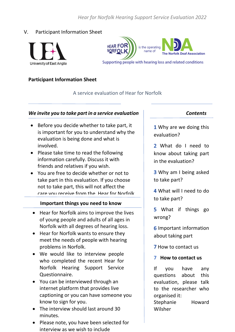*Hear for Norfolk Hearing Support Service Evaluation 2022*

#### <span id="page-61-0"></span>V. Participant Information Sheet



**HEAR FOR** is the operating NORFOLK name of **The Norfolk Deaf Association** 

Supporting people with hearing loss and related conditions

#### **Participant Information Sheet**

#### A service evaluation of Hear for Norfolk

#### *We invite you to take part in a service evaluation*

- Before you decide whether to take part, it is important for you to understand why the evaluation is being done and what is involved.
- Please take time to read the following information carefully. Discuss it with friends and relatives if you wish.
- You are free to decide whether or not to take part in this evaluation. If you choose not to take part, this will not affect the care you receive from the Hear for Norfolk

#### team. important things you need to more  **Important things you need to know**

- Hear for Norfolk aims to improve the lives of young people and adults of all ages in Norfolk with all degrees of hearing loss.
- Hear for Norfolk wants to ensure they meet the needs of people with hearing problems in Norfolk.
- We would like to interview people who completed the recent Hear for Norfolk Hearing Support Service Questionnaire.
- You can be interviewed through an internet platform that provides live captioning or you can have someone you know to sign for you.
- The interview should last around 30 minutes.
- Please note, you have been selected for interview as we wish to include

- 1 Why are we doing this evaluation?
- 2 What do I need to know about taking part in the evaluation?
- Why am I being asked to take part?
- What will I need to do to take part?
- 5 What if things go wrong?
- **6** Important information about taking part
- **7** How to contact us
- **7 How to contact us**

If you have any questions about this evaluation, please talk to the researcher who organised it: Stephanie Howard Wilsher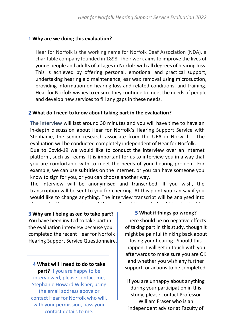#### **1 Why are we doing this evaluation?**

Hear for Norfolk is the working name for Norfolk Deaf Association (NDA), a charitable company founded in 1898. Their work aims to improve the lives of young people and adults of all ages in Norfolk with all degrees of hearing loss. This is achieved by offering personal, emotional and practical support, undertaking hearing aid maintenance, ear wax removal using microsuction, providing information on hearing loss and related conditions, and training. Hear for Norfolk wishes to ensure they continue to meet the needs of people and develop new services to fill any gaps in these needs.

#### **What do I need to know about taking part in the evaluation?**

**The interview** will last around 30 minutes and you will have time to have an in-depth discussion about Hear for Norfolk's Hearing Support Service with Stephanie, the senior research associate from the UEA in Norwich. The evaluation will be conducted completely independent of Hear for Norfolk.

Due to Covid-19 we would like to conduct the interview over an internet platform, such as Teams. It is important for us to interview you in a way that you are comfortable with to meet the needs of your hearing problem. For example, we can use subtitles on the internet, or you can have someone you know to sign for you, or you can choose another way.

The interview will be anonymised and transcribed. If you wish, the transcription will be sent to you for checking. At this point you can say if you would like to change anything. The interview transcript will be analysed into themes by the researcher and the quality of the analysis will be checked by

### 3 Why am I being asked to take part? | **5** What if things go wrong?

o villy an recent to take part:<br>You have been invited to take part in There should be no negative effects the evaluation interview because you discribed part in the evaluation interview because you completed the recent Hear for Norfolk Hearing Support Service Questionnaire.

**What will I need to do to take part?** If you are happy to be interviewed, please contact me, Stephanie Howard Wilsher, using the email address above or contact Hear for Norfolk who will, with your permission, pass your contact details to me.

#### **What if things go wrong?**

There should be no negative effects of taking part in this study, though it might be painful thinking back about

losing your hearing. Should this happen, I will get in touch with you afterwards to make sure you are OK and whether you wish any further support, or actions to be completed.

63 independent advisor at Faculty of If you are unhappy about anything during your participation in this study, please contact Professor William Fraser who is an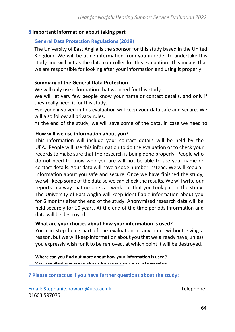#### **Important information about taking part**

#### **General Data Protection Regulations (2018)**

The University of East Anglia is the sponsor for this study based in the United Kingdom. We will be using information from you in order to undertake this study and will act as the data controller for this evaluation. This means that we are responsible for looking after your information and using it properly.

#### **Summary of the General Data Protection**

We will only use information that we need for this study.

We will let very few people know your name or contact details, and only if they really need it for this study.

Everyone involved in this evaluation will keep your data safe and secure. We  $-$  will also follow all privacy rules.

At the end of the study, we will save some of the data, in case we need to

#### check it or for future research. **How will we use information about you?**

We will we use information about you:<br>This information will include your contact datails will be deald by the This information will include your contact details will be held by the UEA. People will use this information to do the evaluation or to check your records to make sure that the research is being done properly. People who do not need to know who you are will not be able to see your name or contact details. Your data will have a code number instead. We will keep all information about you safe and secure. Once we have finished the study, we will keep some of the data so we can check the results. We will write our reports in a way that no-one can work out that you took part in the study. The University of East Anglia will keep identifiable information about you for 6 months after the end of the study. Anonymised research data will be held securely for 10 years. At the end of the time periods information and data will be destroyed.

#### **What are your choices about how your information is used?**

You can stop being part of the evaluation at any time, without giving a reason, but we will keep information about you that we already have, unless you expressly wish for it to be removed, at which point it will be destroyed.

**Where can you find out more about how your information is used?** You can find out more about how we use your information

## **7 Please contact us if you have further questions about the study:**

Email: [Stephanie.howard@uea.ac.uk](mailto:Stephanie.howard@uea.ac.uk) Telephone: 01603 597075  $\mathbf{G}$  by ringing us on  $\mathbf{G}$  (1603  $\mathbf{G}$  59  $\mathbf{G}$  1603  $\mathbf{G}$  59  $\mathbf{G}$  1613 <u>biephame.noward@dea.ac.</u>uk<br>FOJOJE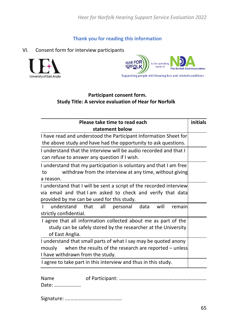*Hear for Norfolk Hearing Support Service Evaluation 2022*

**Thank you for reading this information**

### <span id="page-64-0"></span>VI. Consent form for interview participants





### **Participant consent form. Study Title: A service evaluation of Hear for Norfolk**

| Please take time to read each                                         | initials |
|-----------------------------------------------------------------------|----------|
| statement below                                                       |          |
| I have read and understood the Participant Information Sheet for      |          |
| the above study and have had the opportunity to ask questions.        |          |
| I understand that the interview will be audio recorded and that I     |          |
| can refuse to answer any question if I wish.                          |          |
| I understand that my participation is voluntary and that I am free    |          |
| withdraw from the interview at any time, without giving<br>to         |          |
| a reason.                                                             |          |
| I understand that I will be sent a script of the recorded interview   |          |
| via email and that I am asked to check and verify that data           |          |
| provided by me can be used for this study.                            |          |
| understand<br>that<br>all<br>data<br>will<br>personal<br>remain<br>т. |          |
| strictly confidential.                                                |          |
| I agree that all information collected about me as part of the        |          |
| study can be safely stored by the researcher at the University        |          |
| of East Anglia.                                                       |          |
| I understand that small parts of what I say may be quoted anony       |          |
| when the results of the research are reported $-$ unless<br>mously    |          |
| I have withdrawn from the study.                                      |          |
| I agree to take part in this interview and thus in this study.        |          |
|                                                                       |          |

Name of Participant: ……………………………………………………………

Date: …………………

Signature: .........................................